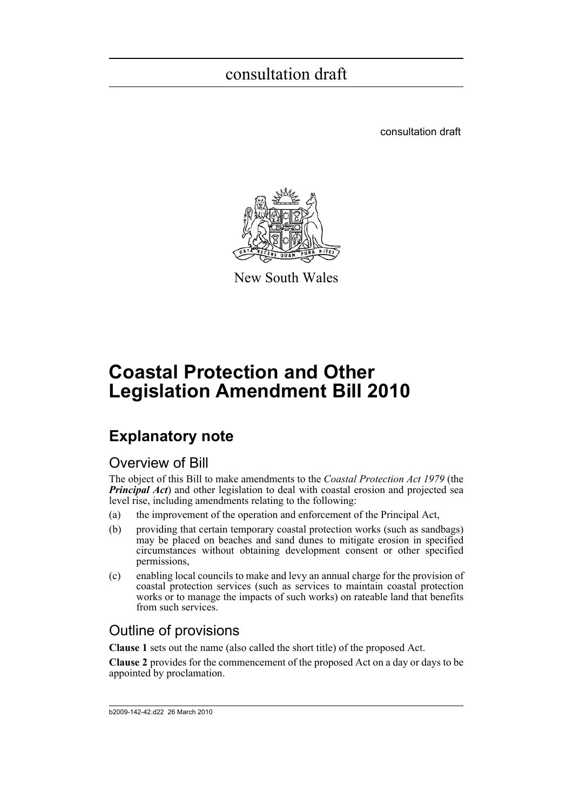consultation draft



New South Wales

# **Coastal Protection and Other Legislation Amendment Bill 2010**

## **Explanatory note**

### Overview of Bill

The object of this Bill to make amendments to the *Coastal Protection Act 1979* (the *Principal Act*) and other legislation to deal with coastal erosion and projected sea level rise, including amendments relating to the following:

- (a) the improvement of the operation and enforcement of the Principal Act,
- (b) providing that certain temporary coastal protection works (such as sandbags) may be placed on beaches and sand dunes to mitigate erosion in specified circumstances without obtaining development consent or other specified permissions,
- (c) enabling local councils to make and levy an annual charge for the provision of coastal protection services (such as services to maintain coastal protection works or to manage the impacts of such works) on rateable land that benefits from such services.

### Outline of provisions

**Clause 1** sets out the name (also called the short title) of the proposed Act.

**Clause 2** provides for the commencement of the proposed Act on a day or days to be appointed by proclamation.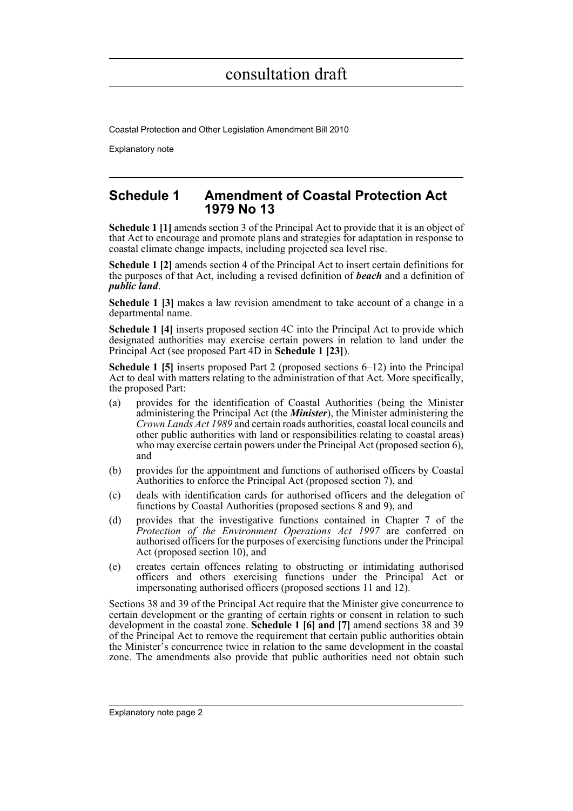Coastal Protection and Other Legislation Amendment Bill 2010

Explanatory note

### **Schedule 1 Amendment of Coastal Protection Act 1979 No 13**

**Schedule 1 [1]** amends section 3 of the Principal Act to provide that it is an object of that Act to encourage and promote plans and strategies for adaptation in response to coastal climate change impacts, including projected sea level rise.

**Schedule 1 [2]** amends section 4 of the Principal Act to insert certain definitions for the purposes of that Act, including a revised definition of *beach* and a definition of *public land*.

**Schedule 1 [3]** makes a law revision amendment to take account of a change in a departmental name.

**Schedule 1 [4]** inserts proposed section 4C into the Principal Act to provide which designated authorities may exercise certain powers in relation to land under the Principal Act (see proposed Part 4D in **Schedule 1 [23]**).

**Schedule 1 [5]** inserts proposed Part 2 (proposed sections 6–12) into the Principal Act to deal with matters relating to the administration of that Act. More specifically, the proposed Part:

- (a) provides for the identification of Coastal Authorities (being the Minister administering the Principal Act (the *Minister*), the Minister administering the *Crown Lands Act 1989* and certain roads authorities, coastal local councils and other public authorities with land or responsibilities relating to coastal areas) who may exercise certain powers under the Principal Act (proposed section 6), and
- (b) provides for the appointment and functions of authorised officers by Coastal Authorities to enforce the Principal Act (proposed section 7), and
- (c) deals with identification cards for authorised officers and the delegation of functions by Coastal Authorities (proposed sections 8 and 9), and
- (d) provides that the investigative functions contained in Chapter 7 of the *Protection of the Environment Operations Act 1997* are conferred on authorised officers for the purposes of exercising functions under the Principal Act (proposed section 10), and
- (e) creates certain offences relating to obstructing or intimidating authorised officers and others exercising functions under the Principal Act or impersonating authorised officers (proposed sections 11 and 12).

Sections 38 and 39 of the Principal Act require that the Minister give concurrence to certain development or the granting of certain rights or consent in relation to such development in the coastal zone. **Schedule 1 [6] and [7]** amend sections 38 and 39 of the Principal Act to remove the requirement that certain public authorities obtain the Minister's concurrence twice in relation to the same development in the coastal zone. The amendments also provide that public authorities need not obtain such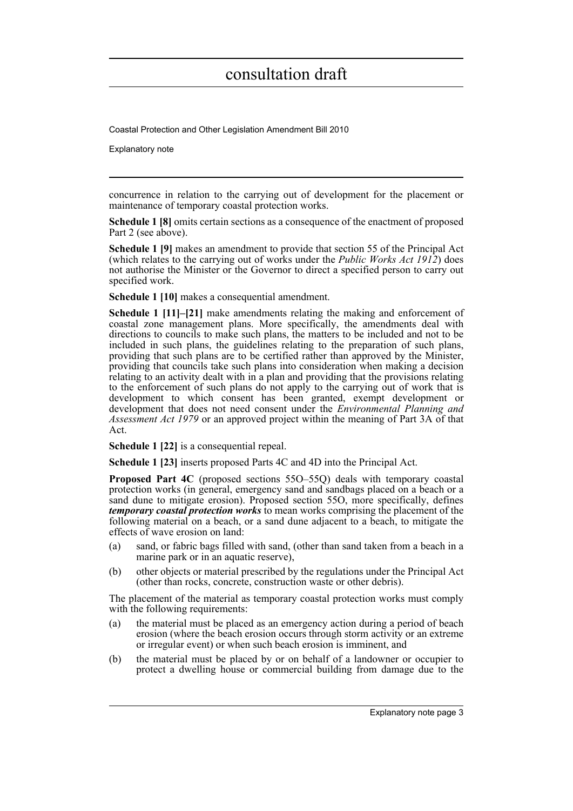Coastal Protection and Other Legislation Amendment Bill 2010

Explanatory note

concurrence in relation to the carrying out of development for the placement or maintenance of temporary coastal protection works.

**Schedule 1 [8]** omits certain sections as a consequence of the enactment of proposed Part 2 (see above).

**Schedule 1 [9]** makes an amendment to provide that section 55 of the Principal Act (which relates to the carrying out of works under the *Public Works Act 1912*) does not authorise the Minister or the Governor to direct a specified person to carry out specified work.

**Schedule 1 [10]** makes a consequential amendment.

**Schedule 1 [11]–[21]** make amendments relating the making and enforcement of coastal zone management plans. More specifically, the amendments deal with directions to councils to make such plans, the matters to be included and not to be included in such plans, the guidelines relating to the preparation of such plans, providing that such plans are to be certified rather than approved by the Minister, providing that councils take such plans into consideration when making a decision relating to an activity dealt with in a plan and providing that the provisions relating to the enforcement of such plans do not apply to the carrying out of work that is development to which consent has been granted, exempt development or development that does not need consent under the *Environmental Planning and Assessment Act 1979* or an approved project within the meaning of Part 3A of that Act.

**Schedule 1 [22]** is a consequential repeal.

**Schedule 1 [23]** inserts proposed Parts 4C and 4D into the Principal Act.

**Proposed Part 4C** (proposed sections 55O–55Q) deals with temporary coastal protection works (in general, emergency sand and sandbags placed on a beach or a sand dune to mitigate erosion). Proposed section 55O, more specifically, defines *temporary coastal protection works* to mean works comprising the placement of the following material on a beach, or a sand dune adjacent to a beach, to mitigate the effects of wave erosion on land:

- (a) sand, or fabric bags filled with sand, (other than sand taken from a beach in a marine park or in an aquatic reserve),
- (b) other objects or material prescribed by the regulations under the Principal Act (other than rocks, concrete, construction waste or other debris).

The placement of the material as temporary coastal protection works must comply with the following requirements:

- (a) the material must be placed as an emergency action during a period of beach erosion (where the beach erosion occurs through storm activity or an extreme or irregular event) or when such beach erosion is imminent, and
- (b) the material must be placed by or on behalf of a landowner or occupier to protect a dwelling house or commercial building from damage due to the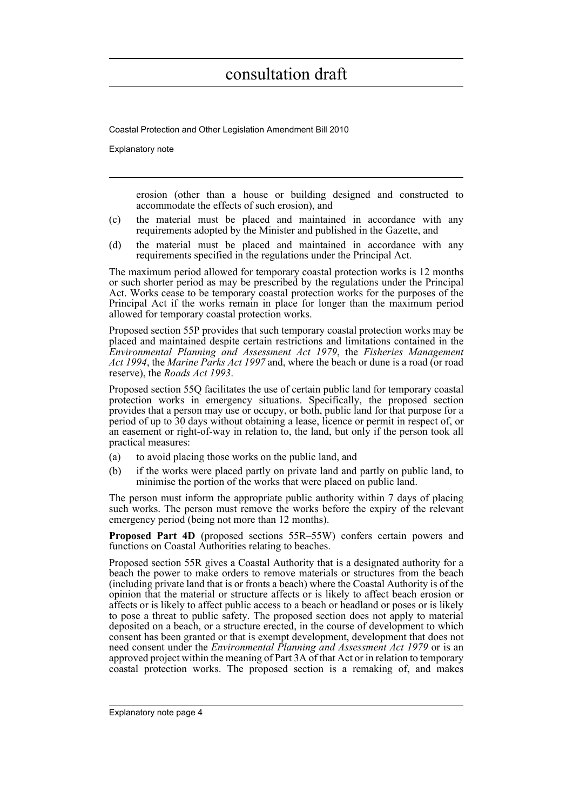Coastal Protection and Other Legislation Amendment Bill 2010

Explanatory note

erosion (other than a house or building designed and constructed to accommodate the effects of such erosion), and

- (c) the material must be placed and maintained in accordance with any requirements adopted by the Minister and published in the Gazette, and
- (d) the material must be placed and maintained in accordance with any requirements specified in the regulations under the Principal Act.

The maximum period allowed for temporary coastal protection works is 12 months or such shorter period as may be prescribed by the regulations under the Principal Act. Works cease to be temporary coastal protection works for the purposes of the Principal Act if the works remain in place for longer than the maximum period allowed for temporary coastal protection works.

Proposed section 55P provides that such temporary coastal protection works may be placed and maintained despite certain restrictions and limitations contained in the *Environmental Planning and Assessment Act 1979*, the *Fisheries Management Act 1994*, the *Marine Parks Act 1997* and, where the beach or dune is a road (or road reserve), the *Roads Act 1993*.

Proposed section 55Q facilitates the use of certain public land for temporary coastal protection works in emergency situations. Specifically, the proposed section provides that a person may use or occupy, or both, public land for that purpose for a period of up to 30 days without obtaining a lease, licence or permit in respect of, or an easement or right-of-way in relation to, the land, but only if the person took all practical measures:

- (a) to avoid placing those works on the public land, and
- (b) if the works were placed partly on private land and partly on public land, to minimise the portion of the works that were placed on public land.

The person must inform the appropriate public authority within 7 days of placing such works. The person must remove the works before the expiry of the relevant emergency period (being not more than 12 months).

**Proposed Part 4D** (proposed sections 55R–55W) confers certain powers and functions on Coastal Authorities relating to beaches.

Proposed section 55R gives a Coastal Authority that is a designated authority for a beach the power to make orders to remove materials or structures from the beach (including private land that is or fronts a beach) where the Coastal Authority is of the opinion that the material or structure affects or is likely to affect beach erosion or affects or is likely to affect public access to a beach or headland or poses or is likely to pose a threat to public safety. The proposed section does not apply to material deposited on a beach, or a structure erected, in the course of development to which consent has been granted or that is exempt development, development that does not need consent under the *Environmental Planning and Assessment Act 1979* or is an approved project within the meaning of Part 3A of that Act or in relation to temporary coastal protection works. The proposed section is a remaking of, and makes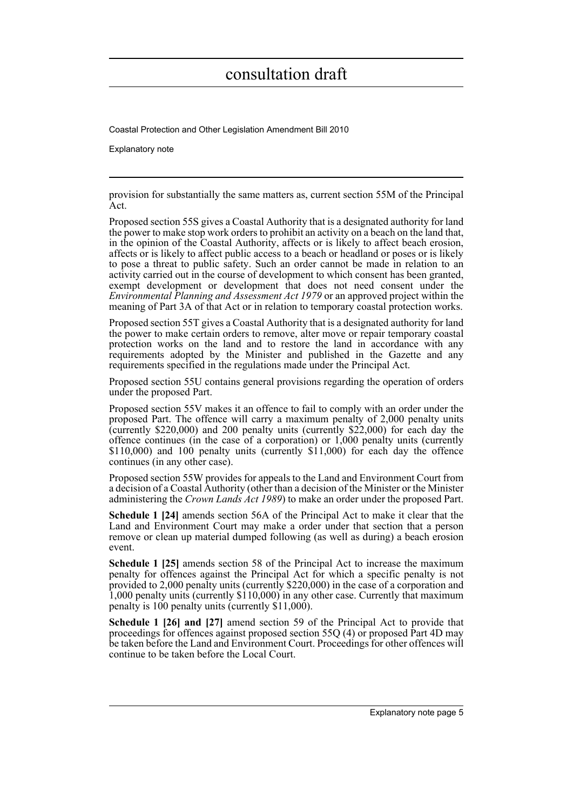Coastal Protection and Other Legislation Amendment Bill 2010

Explanatory note

provision for substantially the same matters as, current section 55M of the Principal Act.

Proposed section 55S gives a Coastal Authority that is a designated authority for land the power to make stop work orders to prohibit an activity on a beach on the land that, in the opinion of the Coastal Authority, affects or is likely to affect beach erosion, affects or is likely to affect public access to a beach or headland or poses or is likely to pose a threat to public safety. Such an order cannot be made in relation to an activity carried out in the course of development to which consent has been granted, exempt development or development that does not need consent under the *Environmental Planning and Assessment Act 1979* or an approved project within the meaning of Part 3A of that Act or in relation to temporary coastal protection works.

Proposed section 55T gives a Coastal Authority that is a designated authority for land the power to make certain orders to remove, alter move or repair temporary coastal protection works on the land and to restore the land in accordance with any requirements adopted by the Minister and published in the Gazette and any requirements specified in the regulations made under the Principal Act.

Proposed section 55U contains general provisions regarding the operation of orders under the proposed Part.

Proposed section 55V makes it an offence to fail to comply with an order under the proposed Part. The offence will carry a maximum penalty of 2,000 penalty units (currently \$220,000) and 200 penalty units (currently \$22,000) for each day the offence continues (in the case of a corporation) or 1,000 penalty units (currently \$110,000) and 100 penalty units (currently \$11,000) for each day the offence continues (in any other case).

Proposed section 55W provides for appeals to the Land and Environment Court from a decision of a Coastal Authority (other than a decision of the Minister or the Minister administering the *Crown Lands Act 1989*) to make an order under the proposed Part.

**Schedule 1 [24]** amends section 56A of the Principal Act to make it clear that the Land and Environment Court may make a order under that section that a person remove or clean up material dumped following (as well as during) a beach erosion event.

**Schedule 1 [25]** amends section 58 of the Principal Act to increase the maximum penalty for offences against the Principal Act for which a specific penalty is not provided to 2,000 penalty units (currently \$220,000) in the case of a corporation and 1,000 penalty units (currently \$110,000) in any other case. Currently that maximum penalty is 100 penalty units (currently \$11,000).

**Schedule 1 [26] and [27]** amend section 59 of the Principal Act to provide that proceedings for offences against proposed section 55Q (4) or proposed Part 4D may be taken before the Land and Environment Court. Proceedings for other offences will continue to be taken before the Local Court.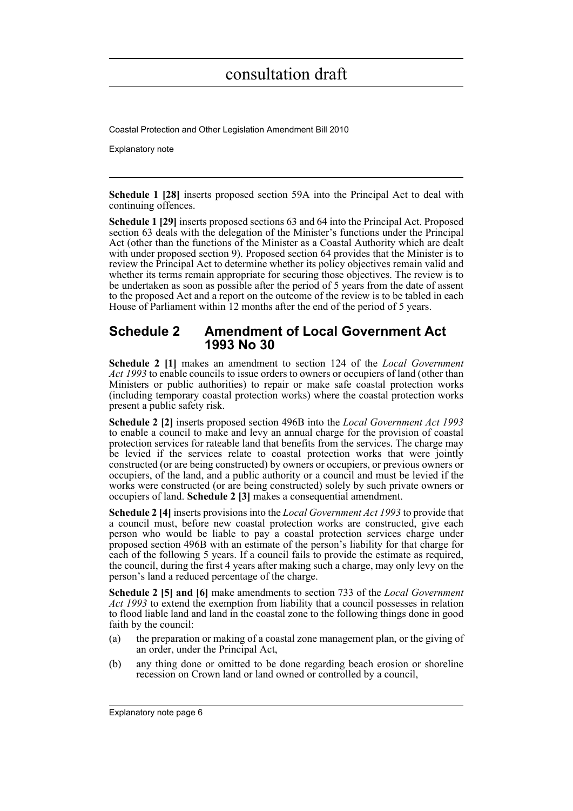Coastal Protection and Other Legislation Amendment Bill 2010

Explanatory note

**Schedule 1 [28]** inserts proposed section 59A into the Principal Act to deal with continuing offences.

**Schedule 1 [29]** inserts proposed sections 63 and 64 into the Principal Act. Proposed section 63 deals with the delegation of the Minister's functions under the Principal Act (other than the functions of the Minister as a Coastal Authority which are dealt with under proposed section 9). Proposed section 64 provides that the Minister is to review the Principal Act to determine whether its policy objectives remain valid and whether its terms remain appropriate for securing those objectives. The review is to be undertaken as soon as possible after the period of 5 years from the date of assent to the proposed Act and a report on the outcome of the review is to be tabled in each House of Parliament within 12 months after the end of the period of 5 years.

### **Schedule 2 Amendment of Local Government Act 1993 No 30**

**Schedule 2 [1]** makes an amendment to section 124 of the *Local Government Act 1993* to enable councils to issue orders to owners or occupiers of land (other than Ministers or public authorities) to repair or make safe coastal protection works (including temporary coastal protection works) where the coastal protection works present a public safety risk.

**Schedule 2 [2]** inserts proposed section 496B into the *Local Government Act 1993* to enable a council to make and levy an annual charge for the provision of coastal protection services for rateable land that benefits from the services. The charge may be levied if the services relate to coastal protection works that were jointly constructed (or are being constructed) by owners or occupiers, or previous owners or occupiers, of the land, and a public authority or a council and must be levied if the works were constructed (or are being constructed) solely by such private owners or occupiers of land. **Schedule 2 [3]** makes a consequential amendment.

**Schedule 2 [4]** inserts provisions into the *Local Government Act 1993* to provide that a council must, before new coastal protection works are constructed, give each person who would be liable to pay a coastal protection services charge under proposed section 496B with an estimate of the person's liability for that charge for each of the following 5 years. If a council fails to provide the estimate as required, the council, during the first 4 years after making such a charge, may only levy on the person's land a reduced percentage of the charge.

**Schedule 2 [5] and [6]** make amendments to section 733 of the *Local Government Act 1993* to extend the exemption from liability that a council possesses in relation to flood liable land and land in the coastal zone to the following things done in good faith by the council:

- (a) the preparation or making of a coastal zone management plan, or the giving of an order, under the Principal Act,
- (b) any thing done or omitted to be done regarding beach erosion or shoreline recession on Crown land or land owned or controlled by a council,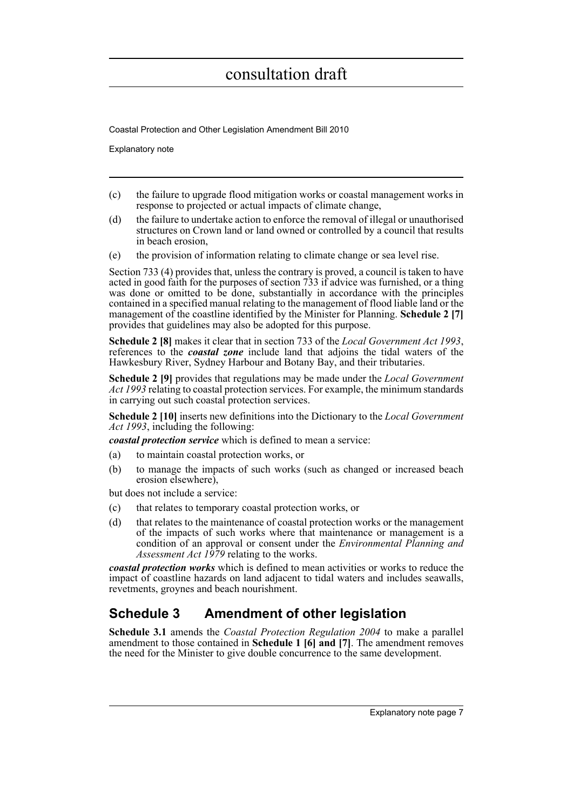Coastal Protection and Other Legislation Amendment Bill 2010

Explanatory note

- (c) the failure to upgrade flood mitigation works or coastal management works in response to projected or actual impacts of climate change,
- (d) the failure to undertake action to enforce the removal of illegal or unauthorised structures on Crown land or land owned or controlled by a council that results in beach erosion,
- (e) the provision of information relating to climate change or sea level rise.

Section 733 (4) provides that, unless the contrary is proved, a council is taken to have acted in good faith for the purposes of section 733 if advice was furnished, or a thing was done or omitted to be done, substantially in accordance with the principles contained in a specified manual relating to the management of flood liable land or the management of the coastline identified by the Minister for Planning. **Schedule 2 [7]** provides that guidelines may also be adopted for this purpose.

**Schedule 2 [8]** makes it clear that in section 733 of the *Local Government Act 1993*, references to the *coastal zone* include land that adjoins the tidal waters of the Hawkesbury River, Sydney Harbour and Botany Bay, and their tributaries.

**Schedule 2 [9]** provides that regulations may be made under the *Local Government Act 1993* relating to coastal protection services. For example, the minimum standards in carrying out such coastal protection services.

**Schedule 2 [10]** inserts new definitions into the Dictionary to the *Local Government Act 1993*, including the following:

*coastal protection service* which is defined to mean a service:

- (a) to maintain coastal protection works, or
- (b) to manage the impacts of such works (such as changed or increased beach erosion elsewhere),

but does not include a service:

- (c) that relates to temporary coastal protection works, or
- (d) that relates to the maintenance of coastal protection works or the management of the impacts of such works where that maintenance or management is a condition of an approval or consent under the *Environmental Planning and Assessment Act 1979* relating to the works.

*coastal protection works* which is defined to mean activities or works to reduce the impact of coastline hazards on land adjacent to tidal waters and includes seawalls, revetments, groynes and beach nourishment.

### **Schedule 3 Amendment of other legislation**

**Schedule 3.1** amends the *Coastal Protection Regulation 2004* to make a parallel amendment to those contained in **Schedule 1 [6] and [7]**. The amendment removes the need for the Minister to give double concurrence to the same development.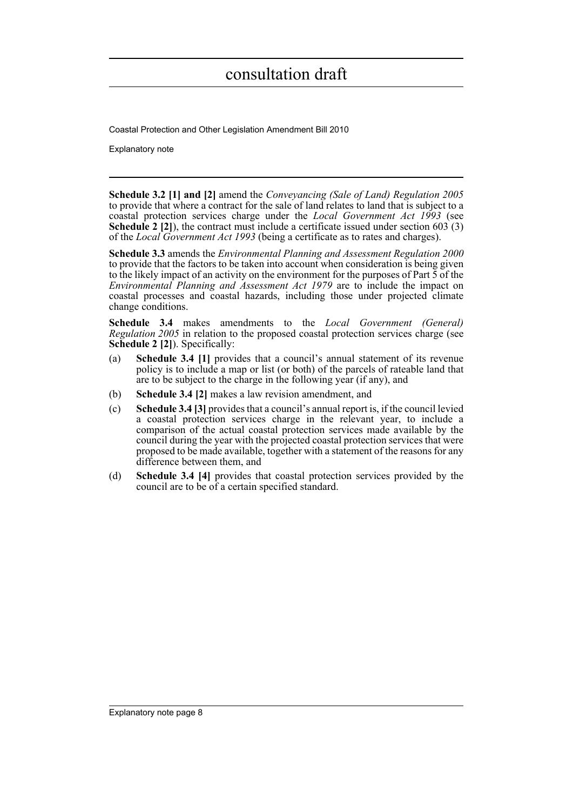Coastal Protection and Other Legislation Amendment Bill 2010

Explanatory note

**Schedule 3.2 [1] and [2]** amend the *Conveyancing (Sale of Land) Regulation 2005* to provide that where a contract for the sale of land relates to land that is subject to a coastal protection services charge under the *Local Government Act 1993* (see **Schedule 2 [2]**), the contract must include a certificate issued under section 603 (3) of the *Local Government Act 1993* (being a certificate as to rates and charges).

**Schedule 3.3** amends the *Environmental Planning and Assessment Regulation 2000* to provide that the factors to be taken into account when consideration is being given to the likely impact of an activity on the environment for the purposes of Part 5 of the *Environmental Planning and Assessment Act 1979* are to include the impact on coastal processes and coastal hazards, including those under projected climate change conditions.

**Schedule 3.4** makes amendments to the *Local Government (General) Regulation 2005* in relation to the proposed coastal protection services charge (see **Schedule 2 [2]**). Specifically:

- (a) **Schedule 3.4 [1]** provides that a council's annual statement of its revenue policy is to include a map or list (or both) of the parcels of rateable land that are to be subject to the charge in the following year (if any), and
- (b) **Schedule 3.4 [2]** makes a law revision amendment, and
- (c) **Schedule 3.4 [3]** provides that a council's annual report is, if the council levied a coastal protection services charge in the relevant year, to include a comparison of the actual coastal protection services made available by the council during the year with the projected coastal protection services that were proposed to be made available, together with a statement of the reasons for any difference between them, and
- (d) **Schedule 3.4 [4]** provides that coastal protection services provided by the council are to be of a certain specified standard.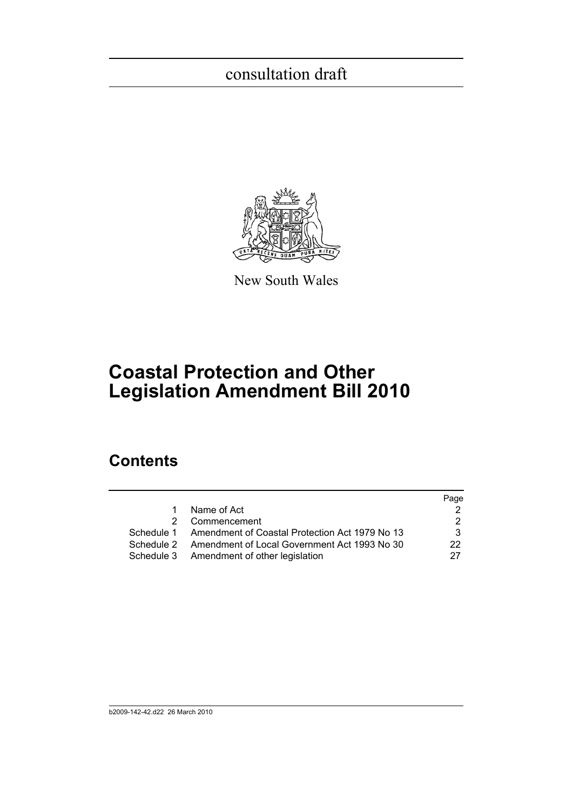

New South Wales

# **Coastal Protection and Other Legislation Amendment Bill 2010**

### **Contents**

|                                                           | Page         |
|-----------------------------------------------------------|--------------|
| 1 Name of Act                                             |              |
| 2 Commencement                                            | 2            |
| Schedule 1 Amendment of Coastal Protection Act 1979 No 13 | 3.           |
| Schedule 2 Amendment of Local Government Act 1993 No 30   | $22^{\circ}$ |
| Schedule 3 Amendment of other legislation                 | 27           |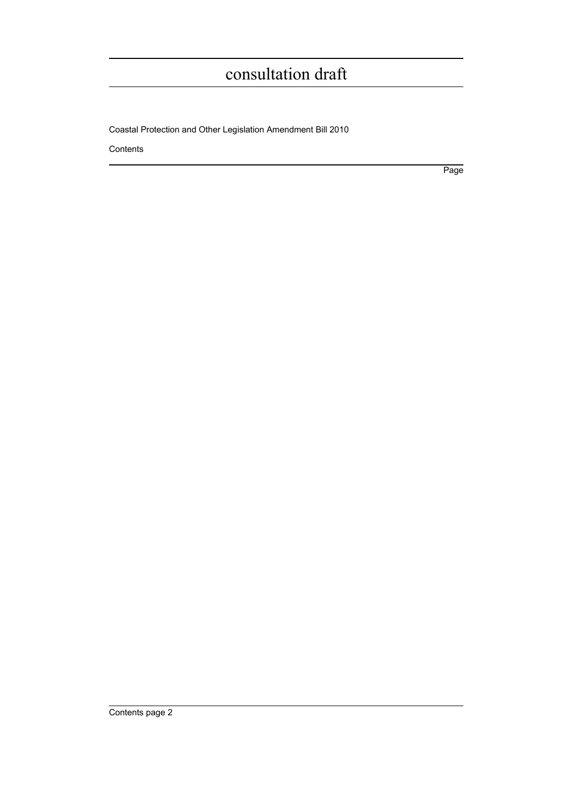Coastal Protection and Other Legislation Amendment Bill 2010

Contents

Page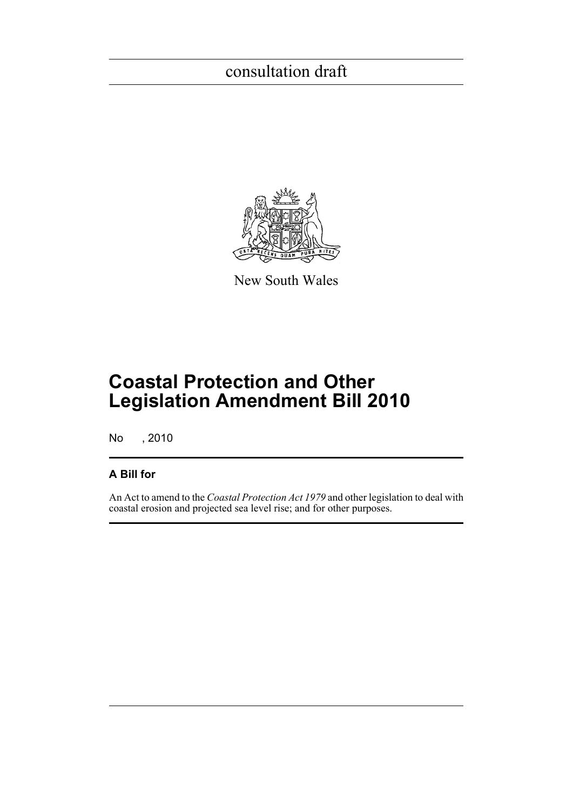

New South Wales

# **Coastal Protection and Other Legislation Amendment Bill 2010**

No , 2010

### **A Bill for**

An Act to amend to the *Coastal Protection Act 1979* and other legislation to deal with coastal erosion and projected sea level rise; and for other purposes.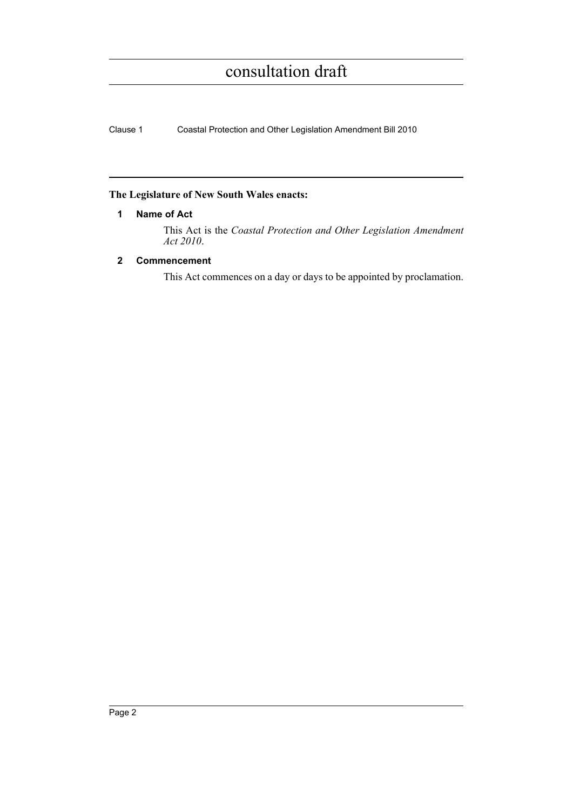Clause 1 Coastal Protection and Other Legislation Amendment Bill 2010

### <span id="page-11-0"></span>**The Legislature of New South Wales enacts:**

#### **1 Name of Act**

This Act is the *Coastal Protection and Other Legislation Amendment Act 2010*.

### <span id="page-11-1"></span>**2 Commencement**

This Act commences on a day or days to be appointed by proclamation.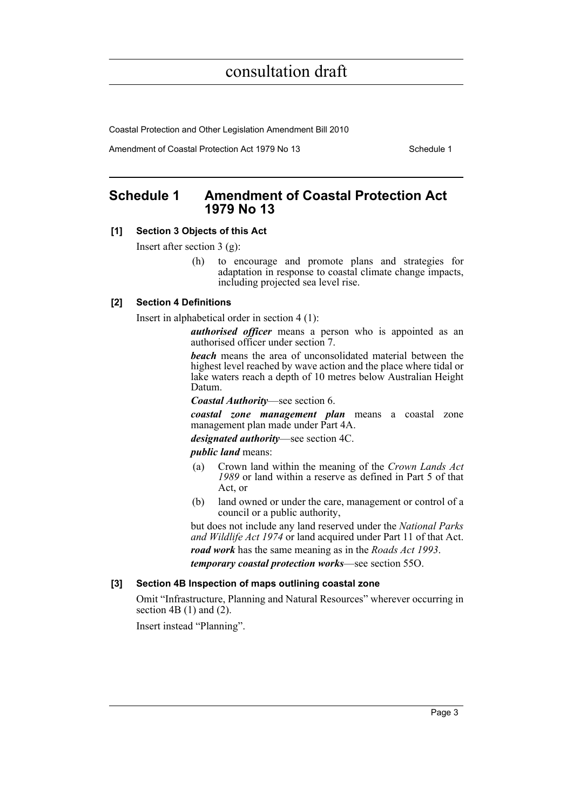Coastal Protection and Other Legislation Amendment Bill 2010

Amendment of Coastal Protection Act 1979 No 13 Schedule 1

### <span id="page-12-0"></span>**Schedule 1 Amendment of Coastal Protection Act 1979 No 13**

### **[1] Section 3 Objects of this Act**

Insert after section 3 (g):

(h) to encourage and promote plans and strategies for adaptation in response to coastal climate change impacts, including projected sea level rise.

#### **[2] Section 4 Definitions**

Insert in alphabetical order in section 4 (1):

*authorised officer* means a person who is appointed as an authorised officer under section 7.

*beach* means the area of unconsolidated material between the highest level reached by wave action and the place where tidal or lake waters reach a depth of 10 metres below Australian Height Datum.

*Coastal Authority*—see section 6.

*coastal zone management plan* means a coastal zone management plan made under Part 4A.

*designated authority*—see section 4C.

*public land* means:

- (a) Crown land within the meaning of the *Crown Lands Act 1989* or land within a reserve as defined in Part 5 of that Act, or
- (b) land owned or under the care, management or control of a council or a public authority,

but does not include any land reserved under the *National Parks and Wildlife Act 1974* or land acquired under Part 11 of that Act. *road work* has the same meaning as in the *Roads Act 1993*. *temporary coastal protection works*—see section 55O.

#### **[3] Section 4B Inspection of maps outlining coastal zone**

Omit "Infrastructure, Planning and Natural Resources" wherever occurring in section 4B  $(1)$  and  $(2)$ .

Insert instead "Planning".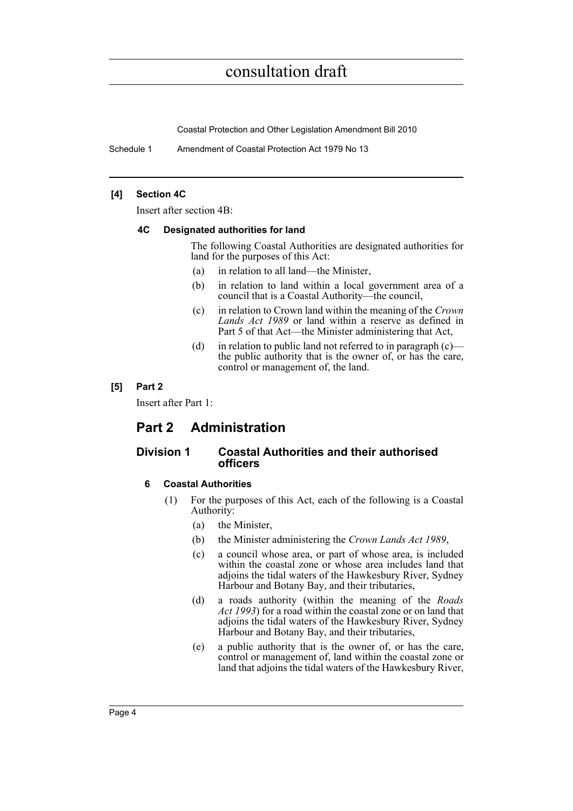Coastal Protection and Other Legislation Amendment Bill 2010

Schedule 1 Amendment of Coastal Protection Act 1979 No 13

#### **[4] Section 4C**

Insert after section 4B:

#### **4C Designated authorities for land**

The following Coastal Authorities are designated authorities for land for the purposes of this Act:

- (a) in relation to all land—the Minister,
- (b) in relation to land within a local government area of a council that is a Coastal Authority—the council,
- (c) in relation to Crown land within the meaning of the *Crown Lands Act 1989* or land within a reserve as defined in Part 5 of that Act—the Minister administering that Act,
- (d) in relation to public land not referred to in paragraph  $(c)$  the public authority that is the owner of, or has the care, control or management of, the land.

#### **[5] Part 2**

Insert after Part 1:

### **Part 2 Administration**

### **Division 1 Coastal Authorities and their authorised officers**

#### **6 Coastal Authorities**

- (1) For the purposes of this Act, each of the following is a Coastal Authority:
	- (a) the Minister,
	- (b) the Minister administering the *Crown Lands Act 1989*,
	- (c) a council whose area, or part of whose area, is included within the coastal zone or whose area includes land that adjoins the tidal waters of the Hawkesbury River, Sydney Harbour and Botany Bay, and their tributaries,
	- (d) a roads authority (within the meaning of the *Roads Act 1993*) for a road within the coastal zone or on land that adjoins the tidal waters of the Hawkesbury River, Sydney Harbour and Botany Bay, and their tributaries,
	- (e) a public authority that is the owner of, or has the care, control or management of, land within the coastal zone or land that adjoins the tidal waters of the Hawkesbury River,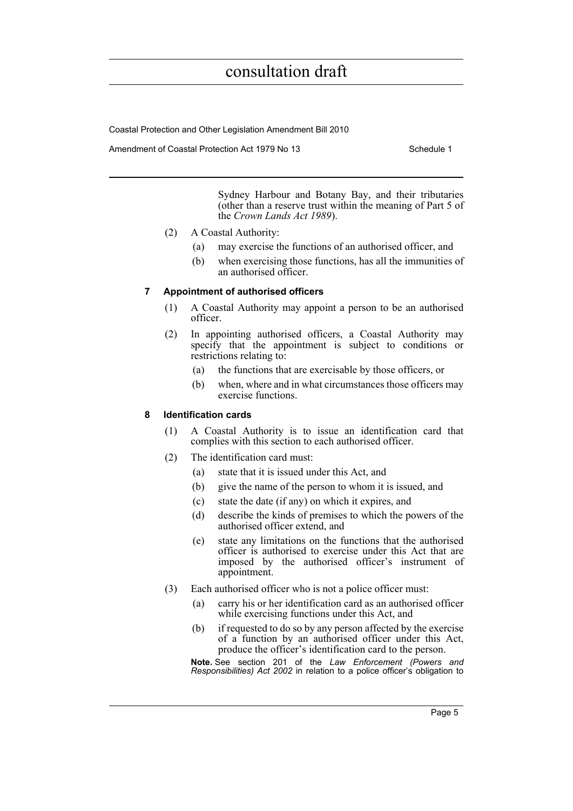Coastal Protection and Other Legislation Amendment Bill 2010

Amendment of Coastal Protection Act 1979 No 13 Schedule 1

Sydney Harbour and Botany Bay, and their tributaries (other than a reserve trust within the meaning of Part 5 of the *Crown Lands Act 1989*).

- (2) A Coastal Authority:
	- (a) may exercise the functions of an authorised officer, and
	- (b) when exercising those functions, has all the immunities of an authorised officer.

#### **7 Appointment of authorised officers**

- (1) A Coastal Authority may appoint a person to be an authorised officer.
- (2) In appointing authorised officers, a Coastal Authority may specify that the appointment is subject to conditions or restrictions relating to:
	- (a) the functions that are exercisable by those officers, or
	- (b) when, where and in what circumstances those officers may exercise functions.

#### **8 Identification cards**

- (1) A Coastal Authority is to issue an identification card that complies with this section to each authorised officer.
- (2) The identification card must:
	- (a) state that it is issued under this Act, and
	- (b) give the name of the person to whom it is issued, and
	- (c) state the date (if any) on which it expires, and
	- (d) describe the kinds of premises to which the powers of the authorised officer extend, and
	- (e) state any limitations on the functions that the authorised officer is authorised to exercise under this Act that are imposed by the authorised officer's instrument of appointment.
- (3) Each authorised officer who is not a police officer must:
	- (a) carry his or her identification card as an authorised officer while exercising functions under this Act, and
	- (b) if requested to do so by any person affected by the exercise of a function by an authorised officer under this Act, produce the officer's identification card to the person.

**Note.** See section 201 of the *Law Enforcement (Powers and Responsibilities) Act 2002* in relation to a police officer's obligation to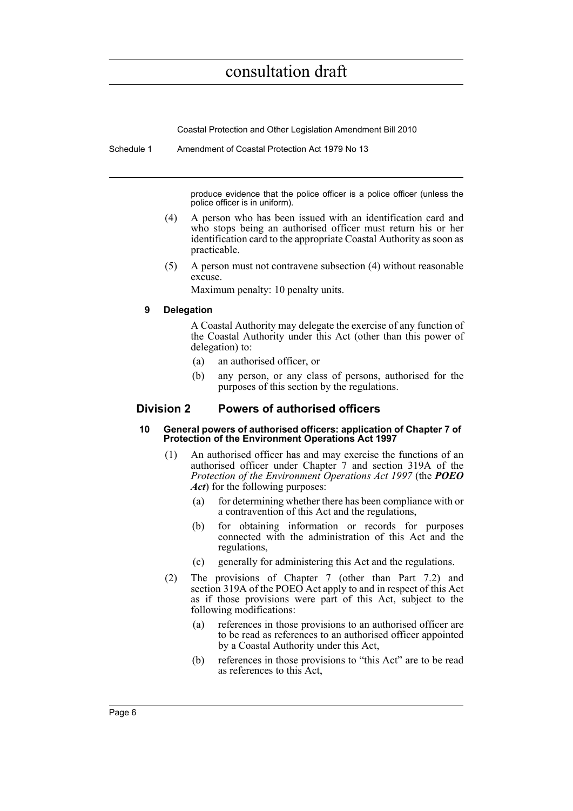Coastal Protection and Other Legislation Amendment Bill 2010

Schedule 1 Amendment of Coastal Protection Act 1979 No 13

produce evidence that the police officer is a police officer (unless the police officer is in uniform).

- (4) A person who has been issued with an identification card and who stops being an authorised officer must return his or her identification card to the appropriate Coastal Authority as soon as practicable.
- (5) A person must not contravene subsection (4) without reasonable excuse.

Maximum penalty: 10 penalty units.

#### **9 Delegation**

A Coastal Authority may delegate the exercise of any function of the Coastal Authority under this Act (other than this power of delegation) to:

- (a) an authorised officer, or
- (b) any person, or any class of persons, authorised for the purposes of this section by the regulations.

#### **Division 2 Powers of authorised officers**

#### **10 General powers of authorised officers: application of Chapter 7 of Protection of the Environment Operations Act 1997**

- (1) An authorised officer has and may exercise the functions of an authorised officer under Chapter 7 and section 319A of the *Protection of the Environment Operations Act 1997* (the *POEO Act*) for the following purposes:
	- (a) for determining whether there has been compliance with or a contravention of this Act and the regulations,
	- (b) for obtaining information or records for purposes connected with the administration of this Act and the regulations,
	- (c) generally for administering this Act and the regulations.
- (2) The provisions of Chapter 7 (other than Part 7.2) and section 319A of the POEO Act apply to and in respect of this Act as if those provisions were part of this Act, subject to the following modifications:
	- (a) references in those provisions to an authorised officer are to be read as references to an authorised officer appointed by a Coastal Authority under this Act,
	- (b) references in those provisions to "this Act" are to be read as references to this Act,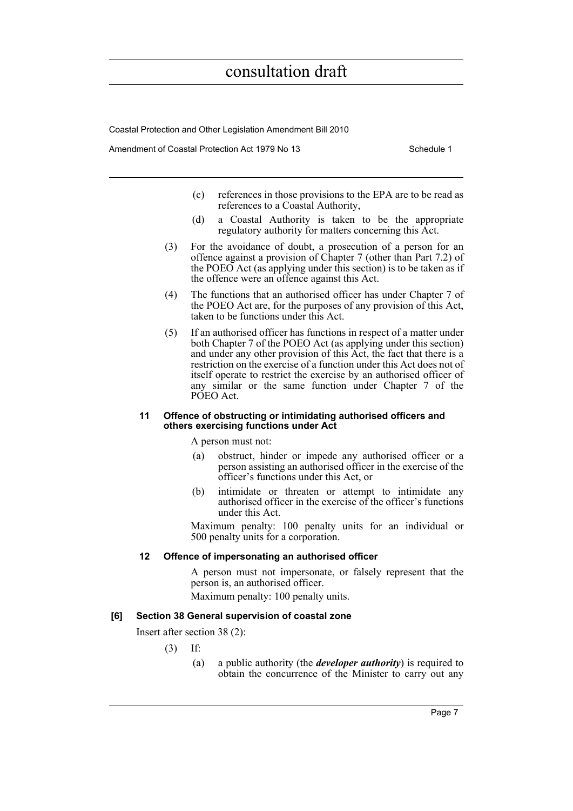Coastal Protection and Other Legislation Amendment Bill 2010

Amendment of Coastal Protection Act 1979 No 13 Schedule 1

- (c) references in those provisions to the EPA are to be read as references to a Coastal Authority,
- (d) a Coastal Authority is taken to be the appropriate regulatory authority for matters concerning this Act.
- (3) For the avoidance of doubt, a prosecution of a person for an offence against a provision of Chapter 7 (other than Part 7.2) of the POEO Act (as applying under this section) is to be taken as if the offence were an offence against this Act.
- (4) The functions that an authorised officer has under Chapter 7 of the POEO Act are, for the purposes of any provision of this Act, taken to be functions under this Act.
- (5) If an authorised officer has functions in respect of a matter under both Chapter 7 of the POEO Act (as applying under this section) and under any other provision of this Act, the fact that there is a restriction on the exercise of a function under this Act does not of itself operate to restrict the exercise by an authorised officer of any similar or the same function under Chapter 7 of the PÓEO Act.

#### **11 Offence of obstructing or intimidating authorised officers and others exercising functions under Act**

A person must not:

- (a) obstruct, hinder or impede any authorised officer or a person assisting an authorised officer in the exercise of the officer's functions under this Act, or
- (b) intimidate or threaten or attempt to intimidate any authorised officer in the exercise of the officer's functions under this Act.

Maximum penalty: 100 penalty units for an individual or 500 penalty units for a corporation.

#### **12 Offence of impersonating an authorised officer**

A person must not impersonate, or falsely represent that the person is, an authorised officer. Maximum penalty: 100 penalty units.

#### **[6] Section 38 General supervision of coastal zone**

Insert after section 38 (2):

- (3) If:
	- (a) a public authority (the *developer authority*) is required to obtain the concurrence of the Minister to carry out any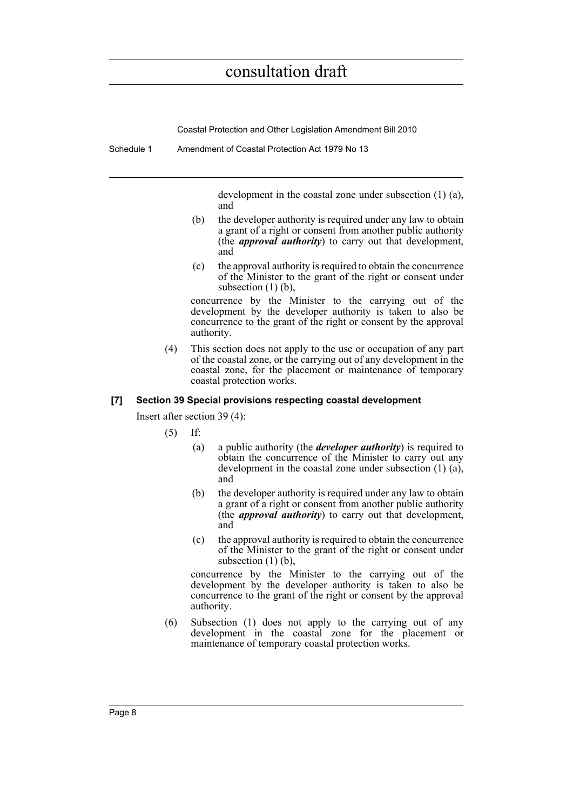Coastal Protection and Other Legislation Amendment Bill 2010

Schedule 1 Amendment of Coastal Protection Act 1979 No 13

development in the coastal zone under subsection (1) (a), and

- (b) the developer authority is required under any law to obtain a grant of a right or consent from another public authority (the *approval authority*) to carry out that development, and
- (c) the approval authority is required to obtain the concurrence of the Minister to the grant of the right or consent under subsection  $(1)$   $(b)$ ,

concurrence by the Minister to the carrying out of the development by the developer authority is taken to also be concurrence to the grant of the right or consent by the approval authority.

(4) This section does not apply to the use or occupation of any part of the coastal zone, or the carrying out of any development in the coastal zone, for the placement or maintenance of temporary coastal protection works.

#### **[7] Section 39 Special provisions respecting coastal development**

Insert after section 39 (4):

(5) If:

- (a) a public authority (the *developer authority*) is required to obtain the concurrence of the Minister to carry out any development in the coastal zone under subsection (1) (a), and
- (b) the developer authority is required under any law to obtain a grant of a right or consent from another public authority (the *approval authority*) to carry out that development, and
- (c) the approval authority is required to obtain the concurrence of the Minister to the grant of the right or consent under subsection (1) (b),

concurrence by the Minister to the carrying out of the development by the developer authority is taken to also be concurrence to the grant of the right or consent by the approval authority.

(6) Subsection (1) does not apply to the carrying out of any development in the coastal zone for the placement or maintenance of temporary coastal protection works.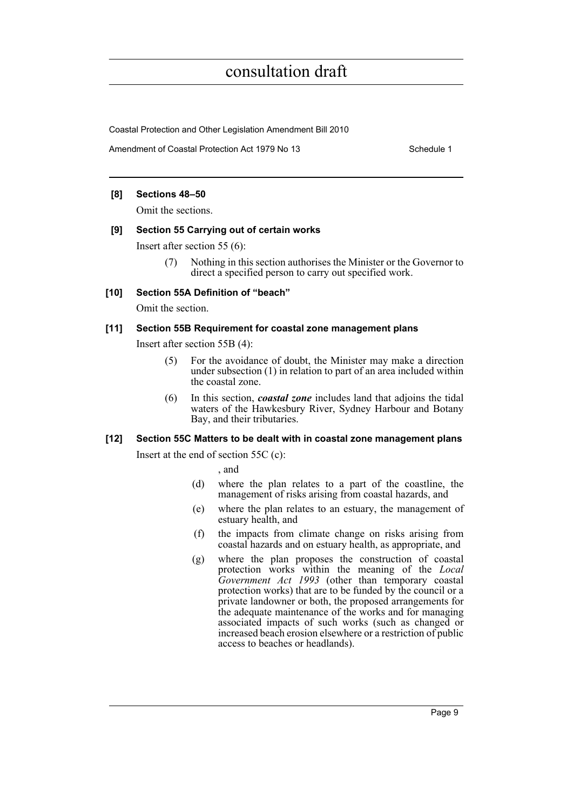Coastal Protection and Other Legislation Amendment Bill 2010

Amendment of Coastal Protection Act 1979 No 13 Schedule 1

#### **[8] Sections 48–50**

Omit the sections.

#### **[9] Section 55 Carrying out of certain works**

Insert after section 55 (6):

(7) Nothing in this section authorises the Minister or the Governor to direct a specified person to carry out specified work.

#### **[10] Section 55A Definition of "beach"**

Omit the section.

#### **[11] Section 55B Requirement for coastal zone management plans**

Insert after section 55B (4):

- (5) For the avoidance of doubt, the Minister may make a direction under subsection (1) in relation to part of an area included within the coastal zone.
- (6) In this section, *coastal zone* includes land that adjoins the tidal waters of the Hawkesbury River, Sydney Harbour and Botany Bay, and their tributaries.

#### **[12] Section 55C Matters to be dealt with in coastal zone management plans**

Insert at the end of section 55C (c):

, and

- (d) where the plan relates to a part of the coastline, the management of risks arising from coastal hazards, and
- (e) where the plan relates to an estuary, the management of estuary health, and
- (f) the impacts from climate change on risks arising from coastal hazards and on estuary health, as appropriate, and
- (g) where the plan proposes the construction of coastal protection works within the meaning of the *Local Government Act 1993* (other than temporary coastal protection works) that are to be funded by the council or a private landowner or both, the proposed arrangements for the adequate maintenance of the works and for managing associated impacts of such works (such as changed or increased beach erosion elsewhere or a restriction of public access to beaches or headlands).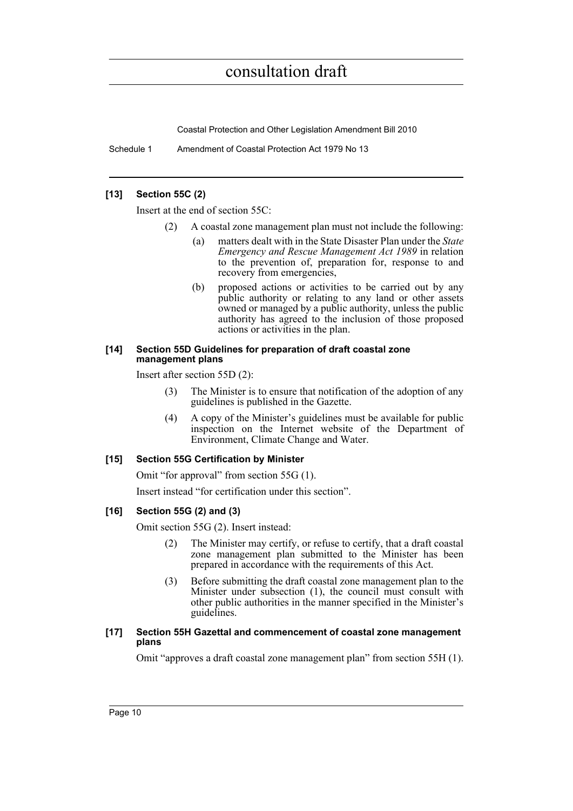Coastal Protection and Other Legislation Amendment Bill 2010

Schedule 1 Amendment of Coastal Protection Act 1979 No 13

#### **[13] Section 55C (2)**

Insert at the end of section 55C:

- (2) A coastal zone management plan must not include the following:
	- (a) matters dealt with in the State Disaster Plan under the *State Emergency and Rescue Management Act 1989* in relation to the prevention of, preparation for, response to and recovery from emergencies,
	- (b) proposed actions or activities to be carried out by any public authority or relating to any land or other assets owned or managed by a public authority, unless the public authority has agreed to the inclusion of those proposed actions or activities in the plan.

#### **[14] Section 55D Guidelines for preparation of draft coastal zone management plans**

Insert after section 55D (2):

- (3) The Minister is to ensure that notification of the adoption of any guidelines is published in the Gazette.
- (4) A copy of the Minister's guidelines must be available for public inspection on the Internet website of the Department of Environment, Climate Change and Water.

#### **[15] Section 55G Certification by Minister**

Omit "for approval" from section 55G (1).

Insert instead "for certification under this section".

#### **[16] Section 55G (2) and (3)**

Omit section 55G (2). Insert instead:

- (2) The Minister may certify, or refuse to certify, that a draft coastal zone management plan submitted to the Minister has been prepared in accordance with the requirements of this Act.
- (3) Before submitting the draft coastal zone management plan to the Minister under subsection (1), the council must consult with other public authorities in the manner specified in the Minister's guidelines.

#### **[17] Section 55H Gazettal and commencement of coastal zone management plans**

Omit "approves a draft coastal zone management plan" from section 55H (1).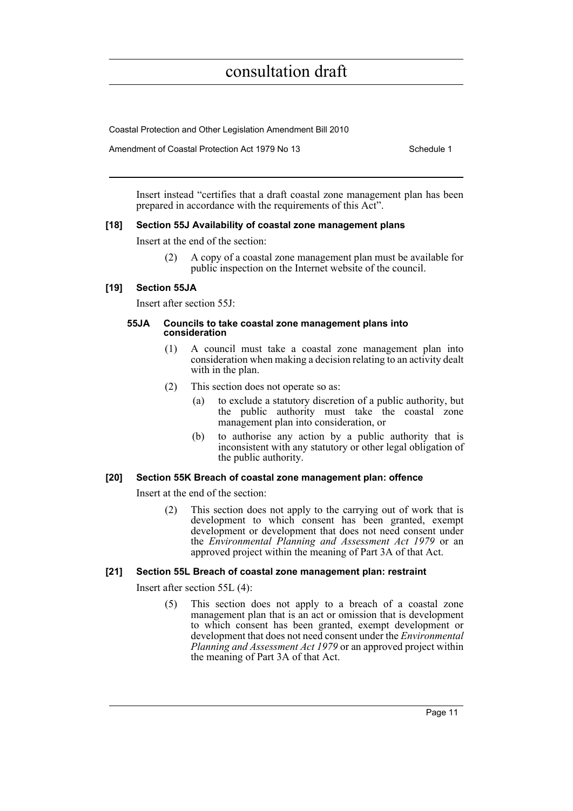Coastal Protection and Other Legislation Amendment Bill 2010

Amendment of Coastal Protection Act 1979 No 13 Schedule 1

Insert instead "certifies that a draft coastal zone management plan has been prepared in accordance with the requirements of this Act".

#### **[18] Section 55J Availability of coastal zone management plans**

Insert at the end of the section:

(2) A copy of a coastal zone management plan must be available for public inspection on the Internet website of the council.

#### **[19] Section 55JA**

Insert after section 55J:

#### **55JA Councils to take coastal zone management plans into consideration**

- (1) A council must take a coastal zone management plan into consideration when making a decision relating to an activity dealt with in the plan.
- (2) This section does not operate so as:
	- (a) to exclude a statutory discretion of a public authority, but the public authority must take the coastal zone management plan into consideration, or
	- (b) to authorise any action by a public authority that is inconsistent with any statutory or other legal obligation of the public authority.

#### **[20] Section 55K Breach of coastal zone management plan: offence**

Insert at the end of the section:

(2) This section does not apply to the carrying out of work that is development to which consent has been granted, exempt development or development that does not need consent under the *Environmental Planning and Assessment Act 1979* or an approved project within the meaning of Part 3A of that Act.

#### **[21] Section 55L Breach of coastal zone management plan: restraint**

Insert after section 55L (4):

(5) This section does not apply to a breach of a coastal zone management plan that is an act or omission that is development to which consent has been granted, exempt development or development that does not need consent under the *Environmental Planning and Assessment Act 1979* or an approved project within the meaning of Part 3A of that Act.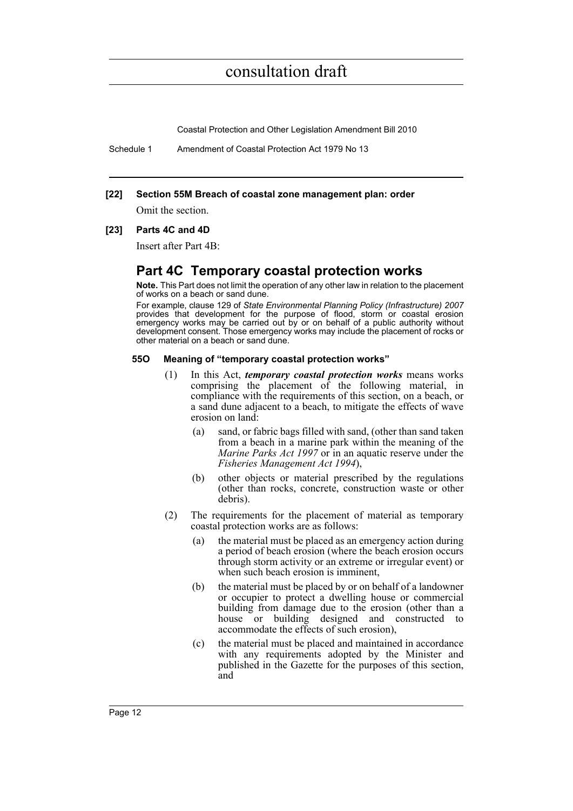Coastal Protection and Other Legislation Amendment Bill 2010

Schedule 1 Amendment of Coastal Protection Act 1979 No 13

#### **[22] Section 55M Breach of coastal zone management plan: order**

Omit the section.

#### **[23] Parts 4C and 4D**

Insert after Part 4B:

### **Part 4C Temporary coastal protection works**

**Note.** This Part does not limit the operation of any other law in relation to the placement of works on a beach or sand dune.

For example, clause 129 of *State Environmental Planning Policy (Infrastructure) 2007* provides that development for the purpose of flood, storm or coastal erosion emergency works may be carried out by or on behalf of a public authority without development consent. Those emergency works may include the placement of rocks or other material on a beach or sand dune.

#### **55O Meaning of "temporary coastal protection works"**

- (1) In this Act, *temporary coastal protection works* means works comprising the placement of the following material, in compliance with the requirements of this section, on a beach, or a sand dune adjacent to a beach, to mitigate the effects of wave erosion on land:
	- (a) sand, or fabric bags filled with sand, (other than sand taken from a beach in a marine park within the meaning of the *Marine Parks Act 1997* or in an aquatic reserve under the *Fisheries Management Act 1994*),
	- (b) other objects or material prescribed by the regulations (other than rocks, concrete, construction waste or other debris).
- (2) The requirements for the placement of material as temporary coastal protection works are as follows:
	- (a) the material must be placed as an emergency action during a period of beach erosion (where the beach erosion occurs through storm activity or an extreme or irregular event) or when such beach erosion is imminent,
	- (b) the material must be placed by or on behalf of a landowner or occupier to protect a dwelling house or commercial building from damage due to the erosion (other than a house or building designed and constructed to accommodate the effects of such erosion),
	- (c) the material must be placed and maintained in accordance with any requirements adopted by the Minister and published in the Gazette for the purposes of this section, and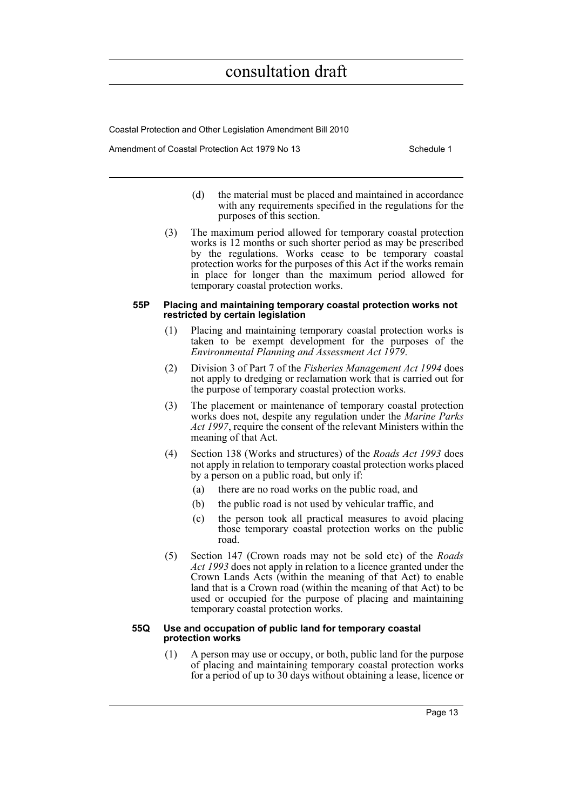Coastal Protection and Other Legislation Amendment Bill 2010

Amendment of Coastal Protection Act 1979 No 13 Schedule 1

- (d) the material must be placed and maintained in accordance with any requirements specified in the regulations for the purposes of this section.
- (3) The maximum period allowed for temporary coastal protection works is 12 months or such shorter period as may be prescribed by the regulations. Works cease to be temporary coastal protection works for the purposes of this Act if the works remain in place for longer than the maximum period allowed for temporary coastal protection works.

#### **55P Placing and maintaining temporary coastal protection works not restricted by certain legislation**

- (1) Placing and maintaining temporary coastal protection works is taken to be exempt development for the purposes of the *Environmental Planning and Assessment Act 1979*.
- (2) Division 3 of Part 7 of the *Fisheries Management Act 1994* does not apply to dredging or reclamation work that is carried out for the purpose of temporary coastal protection works.
- (3) The placement or maintenance of temporary coastal protection works does not, despite any regulation under the *Marine Parks Act 1997*, require the consent of the relevant Ministers within the meaning of that Act.
- (4) Section 138 (Works and structures) of the *Roads Act 1993* does not apply in relation to temporary coastal protection works placed by a person on a public road, but only if:
	- (a) there are no road works on the public road, and
	- (b) the public road is not used by vehicular traffic, and
	- (c) the person took all practical measures to avoid placing those temporary coastal protection works on the public road.
- (5) Section 147 (Crown roads may not be sold etc) of the *Roads Act 1993* does not apply in relation to a licence granted under the Crown Lands Acts (within the meaning of that Act) to enable land that is a Crown road (within the meaning of that Act) to be used or occupied for the purpose of placing and maintaining temporary coastal protection works.

#### **55Q Use and occupation of public land for temporary coastal protection works**

(1) A person may use or occupy, or both, public land for the purpose of placing and maintaining temporary coastal protection works for a period of up to 30 days without obtaining a lease, licence or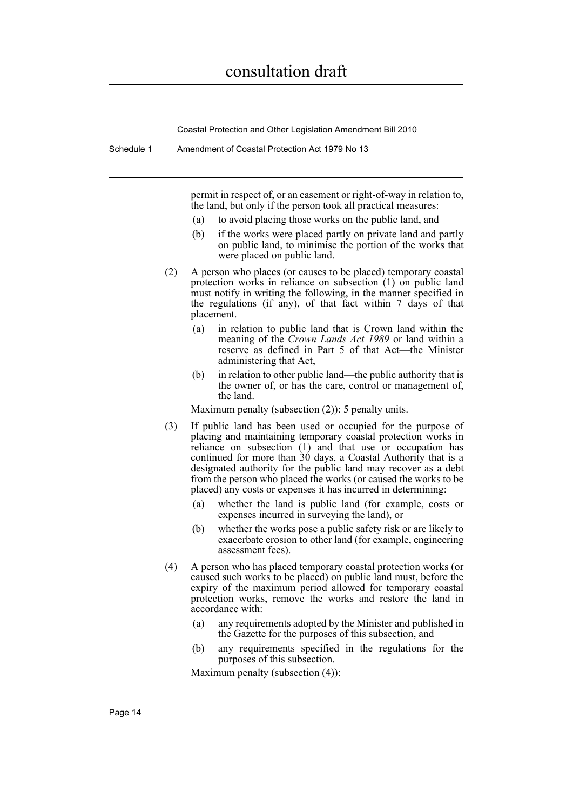Coastal Protection and Other Legislation Amendment Bill 2010

Schedule 1 Amendment of Coastal Protection Act 1979 No 13

permit in respect of, or an easement or right-of-way in relation to, the land, but only if the person took all practical measures:

- (a) to avoid placing those works on the public land, and
- (b) if the works were placed partly on private land and partly on public land, to minimise the portion of the works that were placed on public land.
- (2) A person who places (or causes to be placed) temporary coastal protection works in reliance on subsection (1) on public land must notify in writing the following, in the manner specified in the regulations (if any), of that fact within 7 days of that placement.
	- (a) in relation to public land that is Crown land within the meaning of the *Crown Lands Act 1989* or land within a reserve as defined in Part 5 of that Act—the Minister administering that Act,
	- (b) in relation to other public land—the public authority that is the owner of, or has the care, control or management of, the land.

Maximum penalty (subsection (2)): 5 penalty units.

- (3) If public land has been used or occupied for the purpose of placing and maintaining temporary coastal protection works in reliance on subsection  $(1)$  and that use or occupation has continued for more than  $30$  days, a Coastal Authority that is a designated authority for the public land may recover as a debt from the person who placed the works (or caused the works to be placed) any costs or expenses it has incurred in determining:
	- (a) whether the land is public land (for example, costs or expenses incurred in surveying the land), or
	- (b) whether the works pose a public safety risk or are likely to exacerbate erosion to other land (for example, engineering assessment fees).
- (4) A person who has placed temporary coastal protection works (or caused such works to be placed) on public land must, before the expiry of the maximum period allowed for temporary coastal protection works, remove the works and restore the land in accordance with:
	- (a) any requirements adopted by the Minister and published in the Gazette for the purposes of this subsection, and
	- (b) any requirements specified in the regulations for the purposes of this subsection.

Maximum penalty (subsection (4)):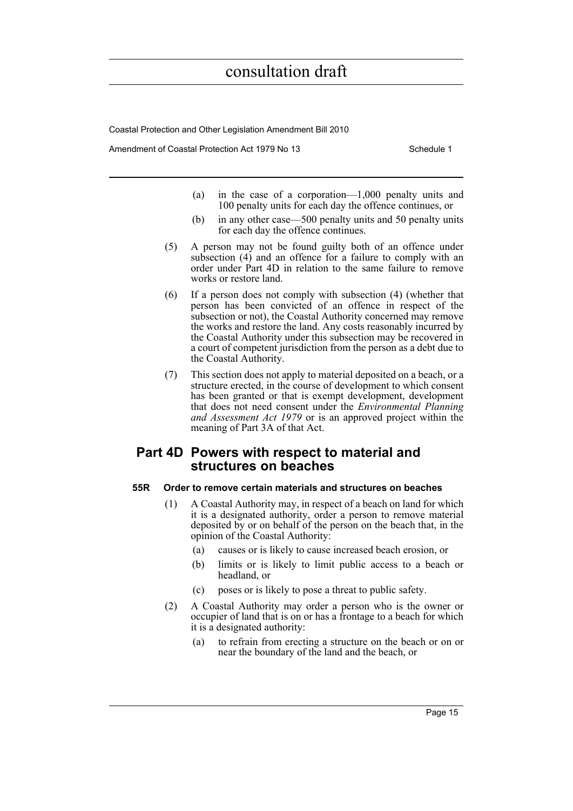Coastal Protection and Other Legislation Amendment Bill 2010

Amendment of Coastal Protection Act 1979 No 13 Schedule 1

- (a) in the case of a corporation—1,000 penalty units and 100 penalty units for each day the offence continues, or
- (b) in any other case—500 penalty units and 50 penalty units for each day the offence continues.
- (5) A person may not be found guilty both of an offence under subsection (4) and an offence for a failure to comply with an order under Part 4D in relation to the same failure to remove works or restore land.
- (6) If a person does not comply with subsection (4) (whether that person has been convicted of an offence in respect of the subsection or not), the Coastal Authority concerned may remove the works and restore the land. Any costs reasonably incurred by the Coastal Authority under this subsection may be recovered in a court of competent jurisdiction from the person as a debt due to the Coastal Authority.
- (7) This section does not apply to material deposited on a beach, or a structure erected, in the course of development to which consent has been granted or that is exempt development, development that does not need consent under the *Environmental Planning and Assessment Act 1979* or is an approved project within the meaning of Part 3A of that Act.

### **Part 4D Powers with respect to material and structures on beaches**

#### **55R Order to remove certain materials and structures on beaches**

- (1) A Coastal Authority may, in respect of a beach on land for which it is a designated authority, order a person to remove material deposited by or on behalf of the person on the beach that, in the opinion of the Coastal Authority:
	- (a) causes or is likely to cause increased beach erosion, or
	- (b) limits or is likely to limit public access to a beach or headland, or
	- (c) poses or is likely to pose a threat to public safety.
- (2) A Coastal Authority may order a person who is the owner or occupier of land that is on or has a frontage to a beach for which it is a designated authority:
	- (a) to refrain from erecting a structure on the beach or on or near the boundary of the land and the beach, or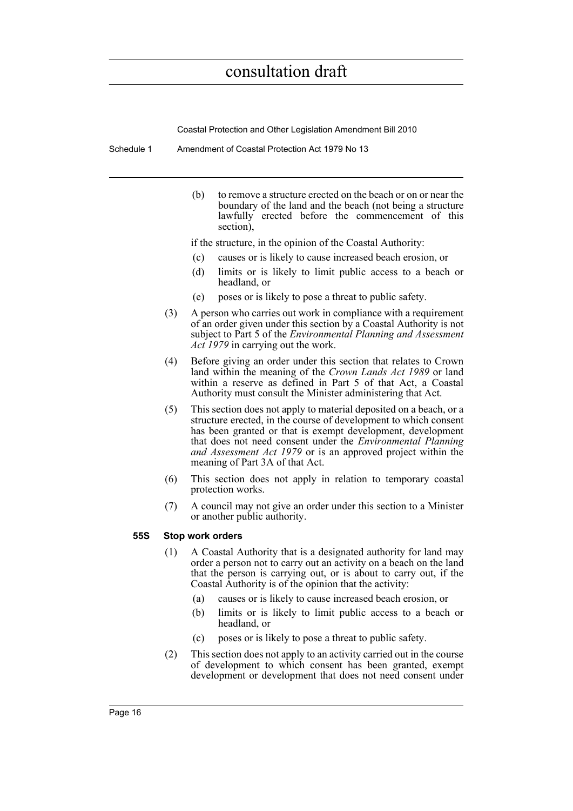Coastal Protection and Other Legislation Amendment Bill 2010

Schedule 1 Amendment of Coastal Protection Act 1979 No 13

(b) to remove a structure erected on the beach or on or near the boundary of the land and the beach (not being a structure lawfully erected before the commencement of this section),

if the structure, in the opinion of the Coastal Authority:

- (c) causes or is likely to cause increased beach erosion, or
- (d) limits or is likely to limit public access to a beach or headland, or
- (e) poses or is likely to pose a threat to public safety.
- (3) A person who carries out work in compliance with a requirement of an order given under this section by a Coastal Authority is not subject to Part 5 of the *Environmental Planning and Assessment Act 1979* in carrying out the work.
- (4) Before giving an order under this section that relates to Crown land within the meaning of the *Crown Lands Act 1989* or land within a reserve as defined in Part 5 of that Act, a Coastal Authority must consult the Minister administering that Act.
- (5) This section does not apply to material deposited on a beach, or a structure erected, in the course of development to which consent has been granted or that is exempt development, development that does not need consent under the *Environmental Planning and Assessment Act 1979* or is an approved project within the meaning of Part 3A of that Act.
- (6) This section does not apply in relation to temporary coastal protection works.
- (7) A council may not give an order under this section to a Minister or another public authority.

#### **55S Stop work orders**

- (1) A Coastal Authority that is a designated authority for land may order a person not to carry out an activity on a beach on the land that the person is carrying out, or is about to carry out, if the Coastal Authority is of the opinion that the activity:
	- (a) causes or is likely to cause increased beach erosion, or
	- (b) limits or is likely to limit public access to a beach or headland, or
	- (c) poses or is likely to pose a threat to public safety.
- (2) This section does not apply to an activity carried out in the course of development to which consent has been granted, exempt development or development that does not need consent under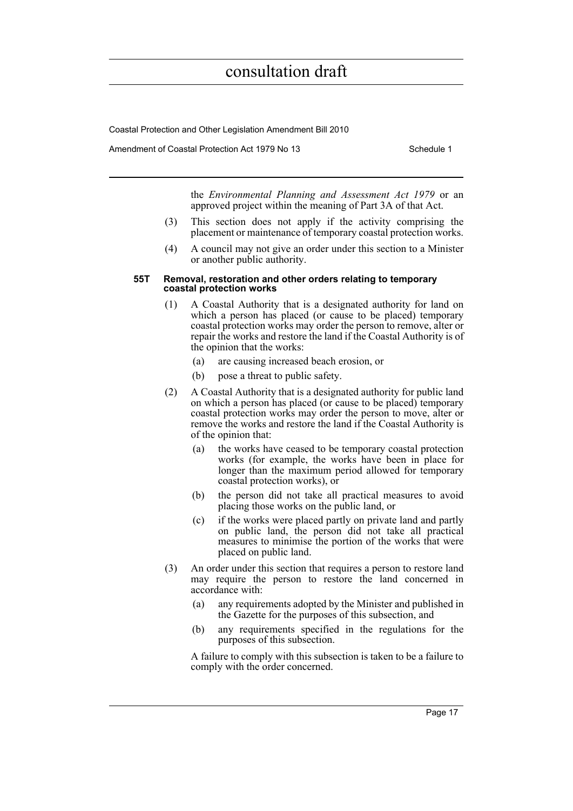Coastal Protection and Other Legislation Amendment Bill 2010

Amendment of Coastal Protection Act 1979 No 13 Schedule 1

the *Environmental Planning and Assessment Act 1979* or an approved project within the meaning of Part 3A of that Act.

- (3) This section does not apply if the activity comprising the placement or maintenance of temporary coastal protection works.
- (4) A council may not give an order under this section to a Minister or another public authority.

#### **55T Removal, restoration and other orders relating to temporary coastal protection works**

- (1) A Coastal Authority that is a designated authority for land on which a person has placed (or cause to be placed) temporary coastal protection works may order the person to remove, alter or repair the works and restore the land if the Coastal Authority is of the opinion that the works:
	- (a) are causing increased beach erosion, or
	- (b) pose a threat to public safety.
- (2) A Coastal Authority that is a designated authority for public land on which a person has placed (or cause to be placed) temporary coastal protection works may order the person to move, alter or remove the works and restore the land if the Coastal Authority is of the opinion that:
	- (a) the works have ceased to be temporary coastal protection works (for example, the works have been in place for longer than the maximum period allowed for temporary coastal protection works), or
	- (b) the person did not take all practical measures to avoid placing those works on the public land, or
	- (c) if the works were placed partly on private land and partly on public land, the person did not take all practical measures to minimise the portion of the works that were placed on public land.
- (3) An order under this section that requires a person to restore land may require the person to restore the land concerned in accordance with:
	- (a) any requirements adopted by the Minister and published in the Gazette for the purposes of this subsection, and
	- (b) any requirements specified in the regulations for the purposes of this subsection.

A failure to comply with this subsection is taken to be a failure to comply with the order concerned.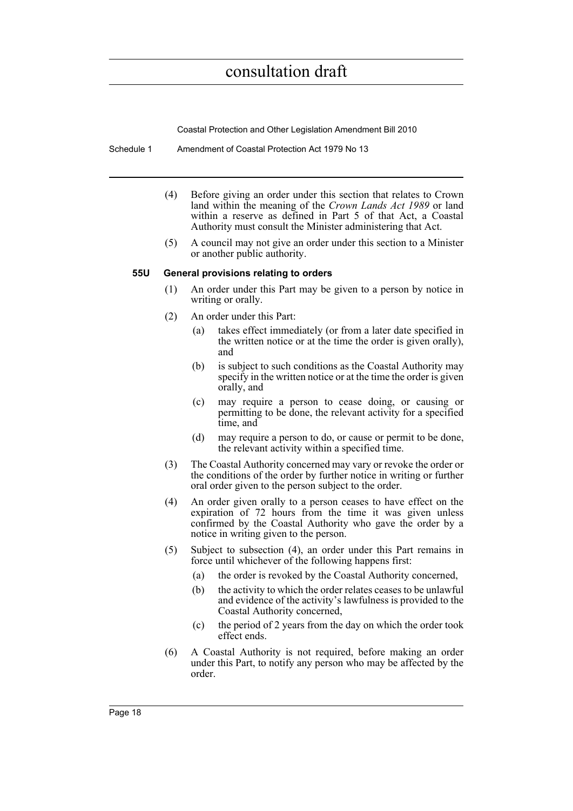Coastal Protection and Other Legislation Amendment Bill 2010

- Schedule 1 Amendment of Coastal Protection Act 1979 No 13
	- (4) Before giving an order under this section that relates to Crown land within the meaning of the *Crown Lands Act 1989* or land within a reserve as defined in Part 5 of that Act, a Coastal Authority must consult the Minister administering that Act.
	- (5) A council may not give an order under this section to a Minister or another public authority.

#### **55U General provisions relating to orders**

- (1) An order under this Part may be given to a person by notice in writing or orally.
- (2) An order under this Part:
	- (a) takes effect immediately (or from a later date specified in the written notice or at the time the order is given orally), and
	- (b) is subject to such conditions as the Coastal Authority may specify in the written notice or at the time the order is given orally, and
	- (c) may require a person to cease doing, or causing or permitting to be done, the relevant activity for a specified time, and
	- (d) may require a person to do, or cause or permit to be done, the relevant activity within a specified time.
- (3) The Coastal Authority concerned may vary or revoke the order or the conditions of the order by further notice in writing or further oral order given to the person subject to the order.
- (4) An order given orally to a person ceases to have effect on the expiration of 72 hours from the time it was given unless confirmed by the Coastal Authority who gave the order by a notice in writing given to the person.
- (5) Subject to subsection (4), an order under this Part remains in force until whichever of the following happens first:
	- (a) the order is revoked by the Coastal Authority concerned,
	- (b) the activity to which the order relates ceases to be unlawful and evidence of the activity's lawfulness is provided to the Coastal Authority concerned,
	- (c) the period of 2 years from the day on which the order took effect ends.
- (6) A Coastal Authority is not required, before making an order under this Part, to notify any person who may be affected by the order.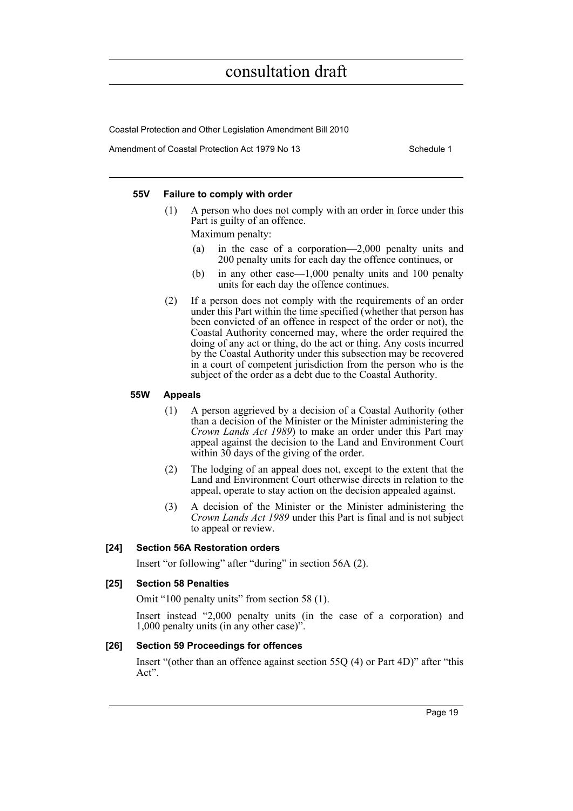Coastal Protection and Other Legislation Amendment Bill 2010

Amendment of Coastal Protection Act 1979 No 13 Schedule 1

#### **55V Failure to comply with order**

(1) A person who does not comply with an order in force under this Part is guilty of an offence.

Maximum penalty:

- (a) in the case of a corporation—2,000 penalty units and 200 penalty units for each day the offence continues, or
- (b) in any other case—1,000 penalty units and 100 penalty units for each day the offence continues.
- (2) If a person does not comply with the requirements of an order under this Part within the time specified (whether that person has been convicted of an offence in respect of the order or not), the Coastal Authority concerned may, where the order required the doing of any act or thing, do the act or thing. Any costs incurred by the Coastal Authority under this subsection may be recovered in a court of competent jurisdiction from the person who is the subject of the order as a debt due to the Coastal Authority.

#### **55W Appeals**

- (1) A person aggrieved by a decision of a Coastal Authority (other than a decision of the Minister or the Minister administering the *Crown Lands Act 1989*) to make an order under this Part may appeal against the decision to the Land and Environment Court within 30 days of the giving of the order.
- (2) The lodging of an appeal does not, except to the extent that the Land and Environment Court otherwise directs in relation to the appeal, operate to stay action on the decision appealed against.
- (3) A decision of the Minister or the Minister administering the *Crown Lands Act 1989* under this Part is final and is not subject to appeal or review.

#### **[24] Section 56A Restoration orders**

Insert "or following" after "during" in section 56A (2).

#### **[25] Section 58 Penalties**

Omit "100 penalty units" from section 58 (1).

Insert instead "2,000 penalty units (in the case of a corporation) and 1,000 penalty units (in any other case)".

#### **[26] Section 59 Proceedings for offences**

Insert "(other than an offence against section 55Q (4) or Part 4D)" after "this Act".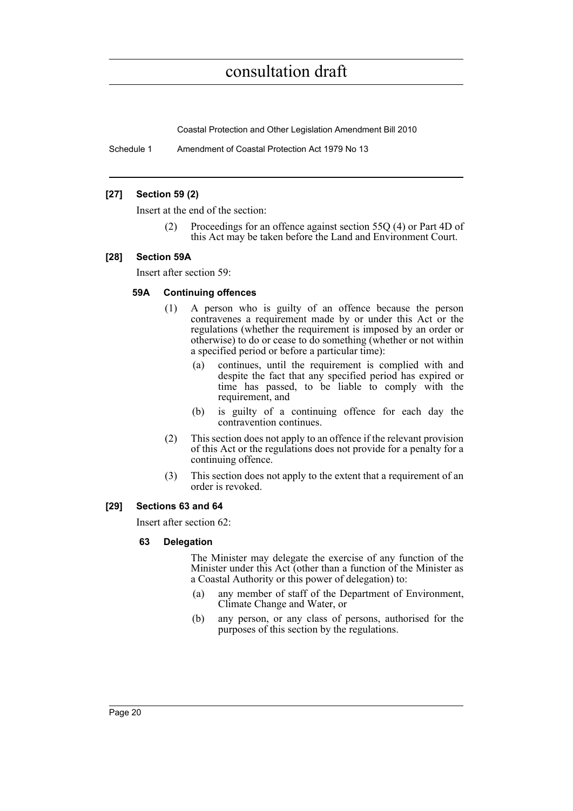Coastal Protection and Other Legislation Amendment Bill 2010

Schedule 1 Amendment of Coastal Protection Act 1979 No 13

#### **[27] Section 59 (2)**

Insert at the end of the section:

Proceedings for an offence against section 55Q (4) or Part 4D of this Act may be taken before the Land and Environment Court.

#### **[28] Section 59A**

Insert after section 59:

#### **59A Continuing offences**

- (1) A person who is guilty of an offence because the person contravenes a requirement made by or under this Act or the regulations (whether the requirement is imposed by an order or otherwise) to do or cease to do something (whether or not within a specified period or before a particular time):
	- (a) continues, until the requirement is complied with and despite the fact that any specified period has expired or time has passed, to be liable to comply with the requirement, and
	- (b) is guilty of a continuing offence for each day the contravention continues.
- (2) This section does not apply to an offence if the relevant provision of this Act or the regulations does not provide for a penalty for a continuing offence.
- (3) This section does not apply to the extent that a requirement of an order is revoked.

### **[29] Sections 63 and 64**

Insert after section 62:

#### **63 Delegation**

The Minister may delegate the exercise of any function of the Minister under this Act (other than a function of the Minister as a Coastal Authority or this power of delegation) to:

- (a) any member of staff of the Department of Environment, Climate Change and Water, or
- (b) any person, or any class of persons, authorised for the purposes of this section by the regulations.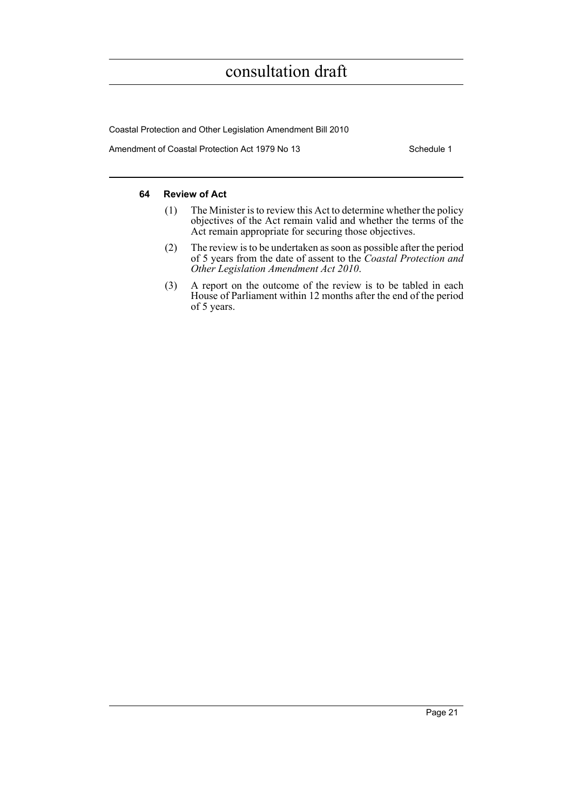Coastal Protection and Other Legislation Amendment Bill 2010

Amendment of Coastal Protection Act 1979 No 13 Schedule 1

#### **64 Review of Act**

- (1) The Minister is to review this Act to determine whether the policy objectives of the Act remain valid and whether the terms of the Act remain appropriate for securing those objectives.
- (2) The review is to be undertaken as soon as possible after the period of 5 years from the date of assent to the *Coastal Protection and Other Legislation Amendment Act 2010*.
- (3) A report on the outcome of the review is to be tabled in each House of Parliament within 12 months after the end of the period of 5 years.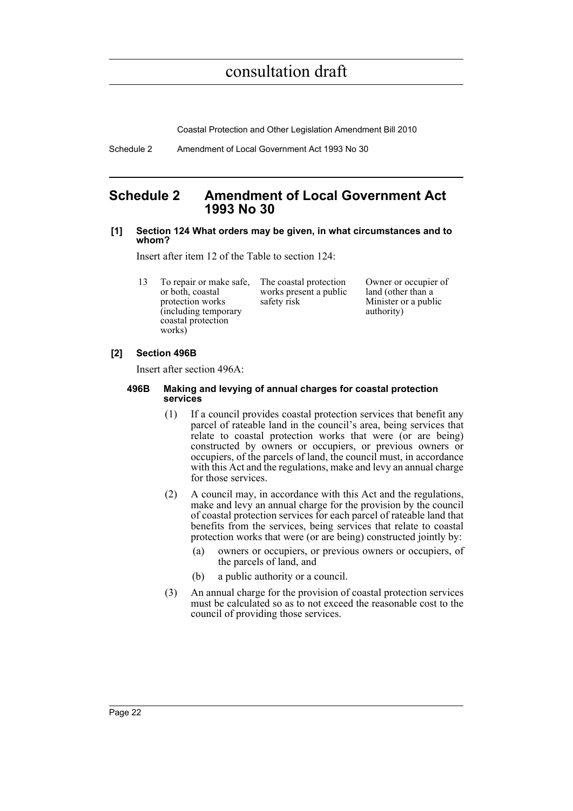Coastal Protection and Other Legislation Amendment Bill 2010

Schedule 2 Amendment of Local Government Act 1993 No 30

### <span id="page-31-0"></span>**Schedule 2 Amendment of Local Government Act 1993 No 30**

#### **[1] Section 124 What orders may be given, in what circumstances and to whom?**

Insert after item 12 of the Table to section 124:

13 To repair or make safe, or both, coastal protection works (including temporary coastal protection works)

The coastal protection works present a public safety risk

Owner or occupier of land (other than a Minister or a public authority)

#### **[2] Section 496B**

Insert after section 496A:

#### **496B Making and levying of annual charges for coastal protection services**

- (1) If a council provides coastal protection services that benefit any parcel of rateable land in the council's area, being services that relate to coastal protection works that were (or are being) constructed by owners or occupiers, or previous owners or occupiers, of the parcels of land, the council must, in accordance with this Act and the regulations, make and levy an annual charge for those services.
- (2) A council may, in accordance with this Act and the regulations, make and levy an annual charge for the provision by the council of coastal protection services for each parcel of rateable land that benefits from the services, being services that relate to coastal protection works that were (or are being) constructed jointly by:
	- (a) owners or occupiers, or previous owners or occupiers, of the parcels of land, and
	- (b) a public authority or a council.
- (3) An annual charge for the provision of coastal protection services must be calculated so as to not exceed the reasonable cost to the council of providing those services.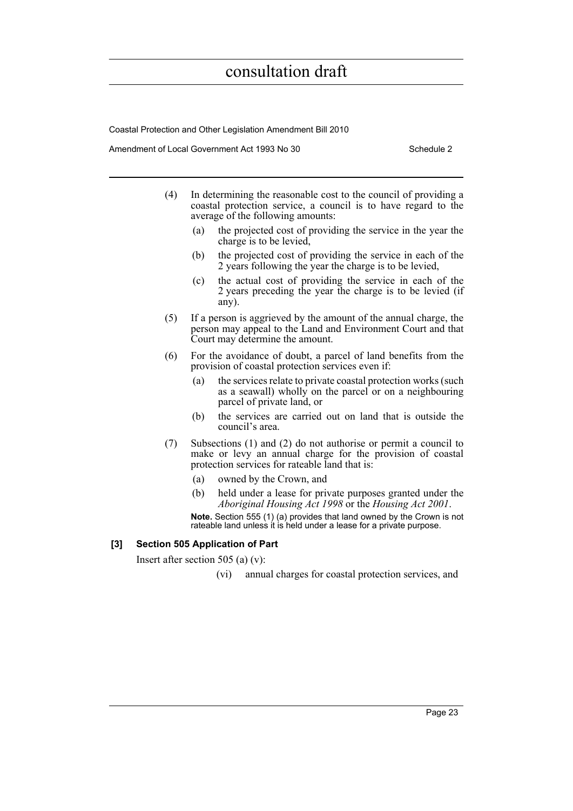Coastal Protection and Other Legislation Amendment Bill 2010

Amendment of Local Government Act 1993 No 30 Schedule 2

- (4) In determining the reasonable cost to the council of providing a coastal protection service, a council is to have regard to the average of the following amounts:
	- (a) the projected cost of providing the service in the year the charge is to be levied,
	- (b) the projected cost of providing the service in each of the 2 years following the year the charge is to be levied,
	- (c) the actual cost of providing the service in each of the 2 years preceding the year the charge is to be levied (if any).
- (5) If a person is aggrieved by the amount of the annual charge, the person may appeal to the Land and Environment Court and that Court may determine the amount.
- (6) For the avoidance of doubt, a parcel of land benefits from the provision of coastal protection services even if:
	- (a) the services relate to private coastal protection works (such as a seawall) wholly on the parcel or on a neighbouring parcel of private land, or
	- (b) the services are carried out on land that is outside the council's area.
- (7) Subsections (1) and (2) do not authorise or permit a council to make or levy an annual charge for the provision of coastal protection services for rateable land that is:
	- (a) owned by the Crown, and
	- (b) held under a lease for private purposes granted under the *Aboriginal Housing Act 1998* or the *Housing Act 2001*.

**Note.** Section 555 (1) (a) provides that land owned by the Crown is not rateable land unless it is held under a lease for a private purpose.

#### **[3] Section 505 Application of Part**

Insert after section 505 (a) (v):

(vi) annual charges for coastal protection services, and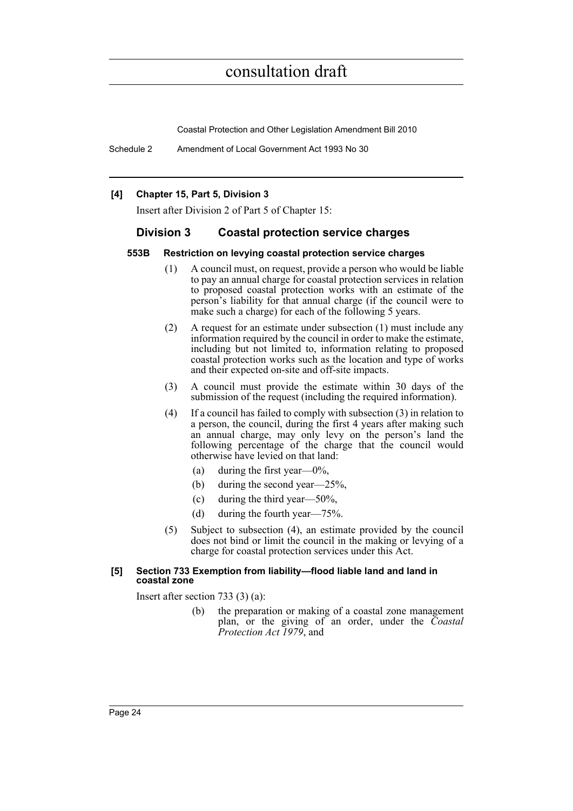Coastal Protection and Other Legislation Amendment Bill 2010

Schedule 2 Amendment of Local Government Act 1993 No 30

#### **[4] Chapter 15, Part 5, Division 3**

Insert after Division 2 of Part 5 of Chapter 15:

#### **Division 3 Coastal protection service charges**

#### **553B Restriction on levying coastal protection service charges**

- (1) A council must, on request, provide a person who would be liable to pay an annual charge for coastal protection services in relation to proposed coastal protection works with an estimate of the person's liability for that annual charge (if the council were to make such a charge) for each of the following 5 years.
- (2) A request for an estimate under subsection (1) must include any information required by the council in order to make the estimate, including but not limited to, information relating to proposed coastal protection works such as the location and type of works and their expected on-site and off-site impacts.
- (3) A council must provide the estimate within 30 days of the submission of the request (including the required information).
- (4) If a council has failed to comply with subsection (3) in relation to a person, the council, during the first 4 years after making such an annual charge, may only levy on the person's land the following percentage of the charge that the council would otherwise have levied on that land:
	- (a) during the first year— $0\%$ ,
	- (b) during the second year—25%,
	- (c) during the third year—50%,
	- (d) during the fourth year—75%.
- (5) Subject to subsection (4), an estimate provided by the council does not bind or limit the council in the making or levying of a charge for coastal protection services under this Act.

#### **[5] Section 733 Exemption from liability—flood liable land and land in coastal zone**

Insert after section 733 (3) (a):

(b) the preparation or making of a coastal zone management plan, or the giving of an order, under the *Coastal Protection Act 1979*, and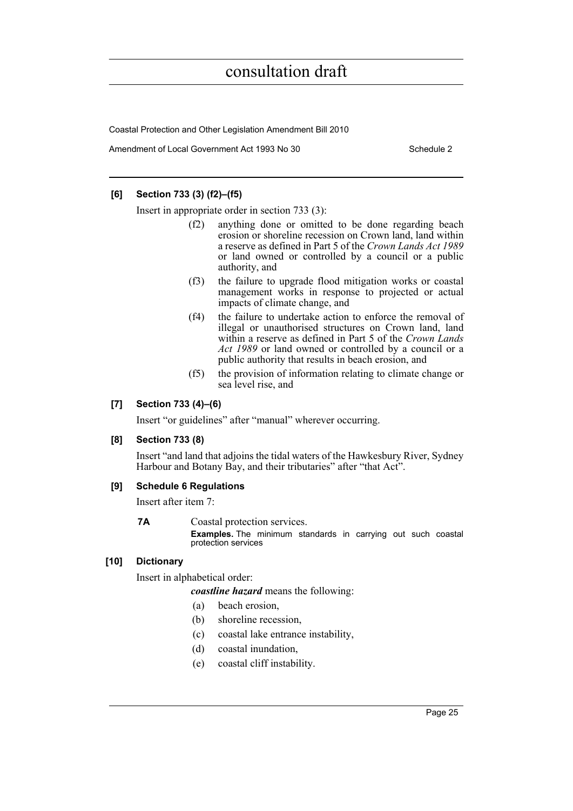Coastal Protection and Other Legislation Amendment Bill 2010

Amendment of Local Government Act 1993 No 30 Schedule 2

#### **[6] Section 733 (3) (f2)–(f5)**

Insert in appropriate order in section 733 (3):

- (f2) anything done or omitted to be done regarding beach erosion or shoreline recession on Crown land, land within a reserve as defined in Part 5 of the *Crown Lands Act 1989* or land owned or controlled by a council or a public authority, and
- (f3) the failure to upgrade flood mitigation works or coastal management works in response to projected or actual impacts of climate change, and
- (f4) the failure to undertake action to enforce the removal of illegal or unauthorised structures on Crown land, land within a reserve as defined in Part 5 of the *Crown Lands Act 1989* or land owned or controlled by a council or a public authority that results in beach erosion, and
- (f5) the provision of information relating to climate change or sea level rise, and

#### **[7] Section 733 (4)–(6)**

Insert "or guidelines" after "manual" wherever occurring.

#### **[8] Section 733 (8)**

Insert "and land that adjoins the tidal waters of the Hawkesbury River, Sydney Harbour and Botany Bay, and their tributaries" after "that Act".

#### **[9] Schedule 6 Regulations**

Insert after item 7:

**7A** Coastal protection services.

**Examples.** The minimum standards in carrying out such coastal protection services

#### **[10] Dictionary**

Insert in alphabetical order:

*coastline hazard* means the following:

- (a) beach erosion,
- (b) shoreline recession,
- (c) coastal lake entrance instability,
- (d) coastal inundation,
- (e) coastal cliff instability.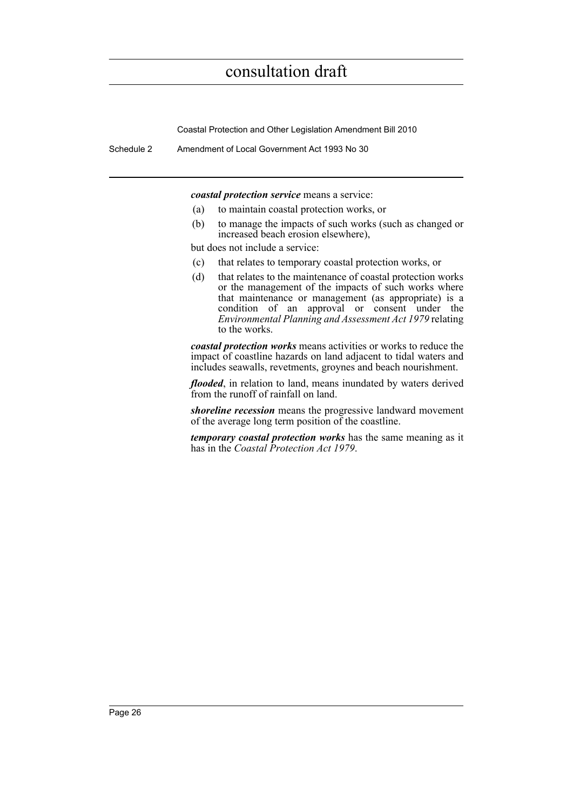Coastal Protection and Other Legislation Amendment Bill 2010

Schedule 2 Amendment of Local Government Act 1993 No 30

*coastal protection service* means a service:

- (a) to maintain coastal protection works, or
- (b) to manage the impacts of such works (such as changed or increased beach erosion elsewhere),

but does not include a service:

- (c) that relates to temporary coastal protection works, or
- (d) that relates to the maintenance of coastal protection works or the management of the impacts of such works where that maintenance or management (as appropriate) is a condition of an approval or consent under the *Environmental Planning and Assessment Act 1979* relating to the works.

*coastal protection works* means activities or works to reduce the impact of coastline hazards on land adjacent to tidal waters and includes seawalls, revetments, groynes and beach nourishment.

*flooded*, in relation to land, means inundated by waters derived from the runoff of rainfall on land.

*shoreline recession* means the progressive landward movement of the average long term position of the coastline.

*temporary coastal protection works* has the same meaning as it has in the *Coastal Protection Act 1979*.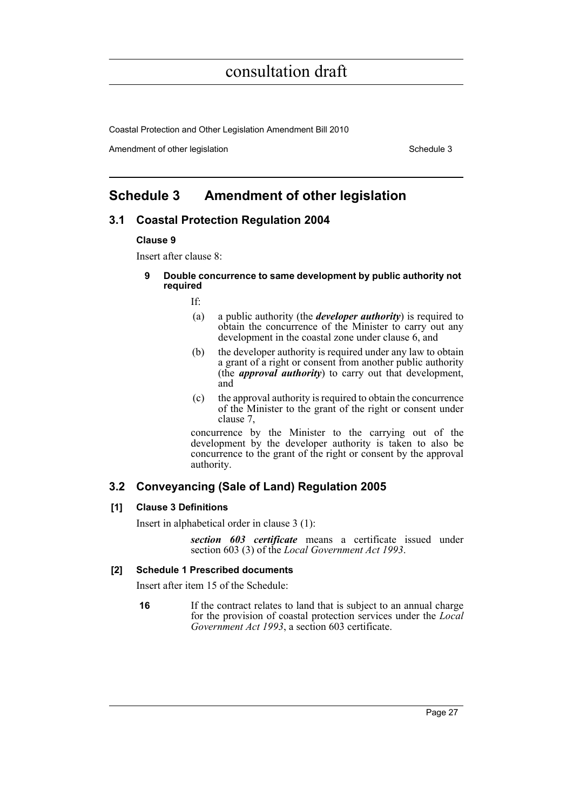Coastal Protection and Other Legislation Amendment Bill 2010

Amendment of other legislation Schedule 3

### <span id="page-36-0"></span>**Schedule 3 Amendment of other legislation**

### **3.1 Coastal Protection Regulation 2004**

#### **Clause 9**

Insert after clause 8:

**9 Double concurrence to same development by public authority not required**

If:

- (a) a public authority (the *developer authority*) is required to obtain the concurrence of the Minister to carry out any development in the coastal zone under clause 6, and
- (b) the developer authority is required under any law to obtain a grant of a right or consent from another public authority (the *approval authority*) to carry out that development, and
- (c) the approval authority is required to obtain the concurrence of the Minister to the grant of the right or consent under clause 7,

concurrence by the Minister to the carrying out of the development by the developer authority is taken to also be concurrence to the grant of the right or consent by the approval authority.

### **3.2 Conveyancing (Sale of Land) Regulation 2005**

#### **[1] Clause 3 Definitions**

Insert in alphabetical order in clause 3 (1):

*section 603 certificate* means a certificate issued under section 603 (3) of the *Local Government Act 1993*.

#### **[2] Schedule 1 Prescribed documents**

Insert after item 15 of the Schedule:

**16** If the contract relates to land that is subject to an annual charge for the provision of coastal protection services under the *Local Government Act 1993*, a section 603 certificate.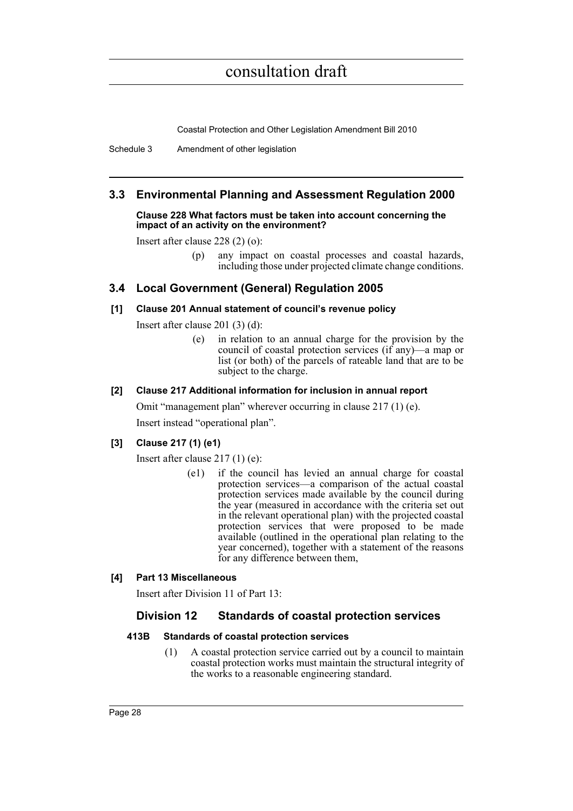Coastal Protection and Other Legislation Amendment Bill 2010

Schedule 3 Amendment of other legislation

### **3.3 Environmental Planning and Assessment Regulation 2000**

#### **Clause 228 What factors must be taken into account concerning the impact of an activity on the environment?**

Insert after clause 228 (2) (o):

(p) any impact on coastal processes and coastal hazards, including those under projected climate change conditions.

### **3.4 Local Government (General) Regulation 2005**

#### **[1] Clause 201 Annual statement of council's revenue policy**

Insert after clause 201 (3) (d):

(e) in relation to an annual charge for the provision by the council of coastal protection services (if any)—a map or list (or both) of the parcels of rateable land that are to be subject to the charge.

#### **[2] Clause 217 Additional information for inclusion in annual report**

Omit "management plan" wherever occurring in clause 217 (1) (e). Insert instead "operational plan".

#### **[3] Clause 217 (1) (e1)**

Insert after clause 217 (1) (e):

(e1) if the council has levied an annual charge for coastal protection services—a comparison of the actual coastal protection services made available by the council during the year (measured in accordance with the criteria set out in the relevant operational plan) with the projected coastal protection services that were proposed to be made available (outlined in the operational plan relating to the year concerned), together with a statement of the reasons for any difference between them,

#### **[4] Part 13 Miscellaneous**

Insert after Division 11 of Part 13:

### **Division 12 Standards of coastal protection services**

#### **413B Standards of coastal protection services**

(1) A coastal protection service carried out by a council to maintain coastal protection works must maintain the structural integrity of the works to a reasonable engineering standard.